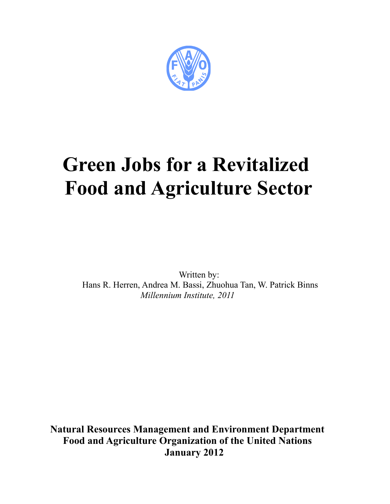

# **Green Jobs for a Revitalized Food and Agriculture Sector**

Written by: Hans R. Herren, Andrea M. Bassi, Zhuohua Tan, W. Patrick Binns *Millennium Institute, 2011*

**Natural Resources Management and Environment Department Food and Agriculture Organization of the United Nations January 2012**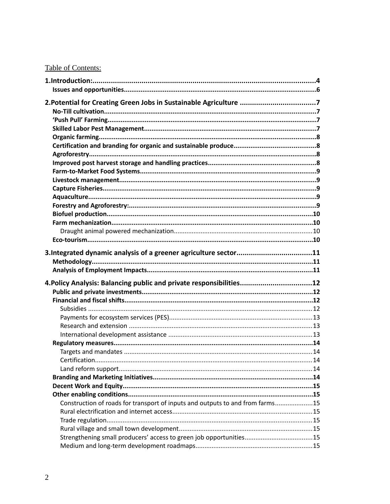# Table of Contents:

| 2. Potential for Creating Green Jobs in Sustainable Agriculture 7             |  |
|-------------------------------------------------------------------------------|--|
|                                                                               |  |
|                                                                               |  |
|                                                                               |  |
|                                                                               |  |
|                                                                               |  |
|                                                                               |  |
|                                                                               |  |
|                                                                               |  |
|                                                                               |  |
|                                                                               |  |
|                                                                               |  |
|                                                                               |  |
|                                                                               |  |
|                                                                               |  |
|                                                                               |  |
|                                                                               |  |
|                                                                               |  |
|                                                                               |  |
|                                                                               |  |
| 4. Policy Analysis: Balancing public and private responsibilities12           |  |
|                                                                               |  |
|                                                                               |  |
|                                                                               |  |
|                                                                               |  |
|                                                                               |  |
|                                                                               |  |
|                                                                               |  |
|                                                                               |  |
| Certification.                                                                |  |
|                                                                               |  |
|                                                                               |  |
|                                                                               |  |
|                                                                               |  |
|                                                                               |  |
| Construction of roads for transport of inputs and outputs to and from farms15 |  |
|                                                                               |  |
|                                                                               |  |
|                                                                               |  |
|                                                                               |  |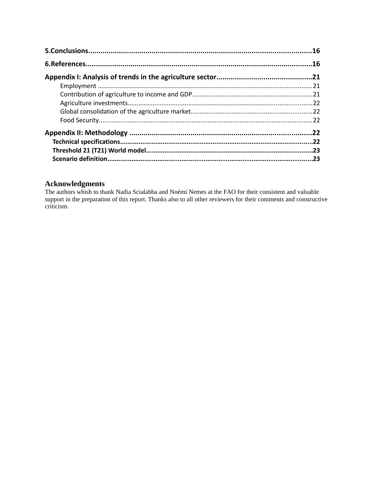| .22 |
|-----|
|     |
| .23 |
| .23 |

# **Acknowledgments**

The authors whish to thank Nadia Scialabba and Noémi Nemes at the FAO for their consistent and valuable support in the preparation of this report. Thanks also to all other reviewers for their comments and constructive criticism.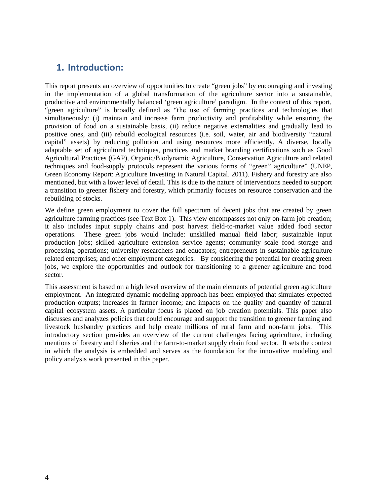# **1. Introduction:**

This report presents an overview of opportunities to create "green jobs" by encouraging and investing in the implementation of a global transformation of the agriculture sector into a sustainable, productive and environmentally balanced 'green agriculture' paradigm. In the context of this report, "green agriculture" is broadly defined as "the use of farming practices and technologies that simultaneously: (i) maintain and increase farm productivity and profitability while ensuring the provision of food on a sustainable basis, (ii) reduce negative externalities and gradually lead to positive ones, and (iii) rebuild ecological resources (i.e. soil, water, air and biodiversity "natural capital" assets) by reducing pollution and using resources more efficiently. A diverse, locally adaptable set of agricultural techniques, practices and market branding certifications such as Good Agricultural Practices (GAP), Organic/Biodynamic Agriculture, Conservation Agriculture and related techniques and food-supply protocols represent the various forms of "green" agriculture" (UNEP, Green Economy Report: Agriculture Investing in Natural Capital. 2011). Fishery and forestry are also mentioned, but with a lower level of detail. This is due to the nature of interventions needed to support a transition to greener fishery and forestry, which primarily focuses on resource conservation and the rebuilding of stocks.

We define green employment to cover the full spectrum of decent jobs that are created by green agriculture farming practices (see Text Box 1). This view encompasses not only on-farm job creation; it also includes input supply chains and post harvest field-to-market value added food sector operations. These green jobs would include: unskilled manual field labor; sustainable input production jobs; skilled agriculture extension service agents; community scale food storage and processing operations; university researchers and educators; entrepreneurs in sustainable agriculture related enterprises; and other employment categories. By considering the potential for creating green jobs, we explore the opportunities and outlook for transitioning to a greener agriculture and food sector.

This assessment is based on a high level overview of the main elements of potential green agriculture employment. An integrated dynamic modeling approach has been employed that simulates expected production outputs; increases in farmer income; and impacts on the quality and quantity of natural capital ecosystem assets. A particular focus is placed on job creation potentials. This paper also discusses and analyzes policies that could encourage and support the transition to greener farming and livestock husbandry practices and help create millions of rural farm and non-farm jobs. This introductory section provides an overview of the current challenges facing agriculture, including mentions of forestry and fisheries and the farm-to-market supply chain food sector. It sets the context in which the analysis is embedded and serves as the foundation for the innovative modeling and policy analysis work presented in this paper.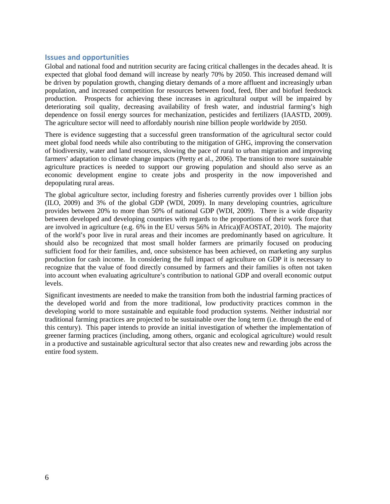# **Issues and opportunities**

Global and national food and nutrition security are facing critical challenges in the decades ahead. It is expected that global food demand will increase by nearly 70% by 2050. This increased demand will be driven by population growth, changing dietary demands of a more affluent and increasingly urban population, and increased competition for resources between food, feed, fiber and biofuel feedstock production. Prospects for achieving these increases in agricultural output will be impaired by deteriorating soil quality, decreasing availability of fresh water, and industrial farming's high dependence on fossil energy sources for mechanization, pesticides and fertilizers (IAASTD, 2009). The agriculture sector will need to affordably nourish nine billion people worldwide by 2050.

There is evidence suggesting that a successful green transformation of the agricultural sector could meet global food needs while also contributing to the mitigation of GHG, improving the conservation of biodiversity, water and land resources, slowing the pace of rural to urban migration and improving farmers' adaptation to climate change impacts (Pretty et al., 2006). The transition to more sustainable agriculture practices is needed to support our growing population and should also serve as an economic development engine to create jobs and prosperity in the now impoverished and depopulating rural areas.

The global agriculture sector, including forestry and fisheries currently provides over 1 billion jobs (ILO, 2009) and 3% of the global GDP (WDI, 2009). In many developing countries, agriculture provides between 20% to more than 50% of national GDP (WDI, 2009). There is a wide disparity between developed and developing countries with regards to the proportions of their work force that are involved in agriculture (e.g. 6% in the EU versus 56% in Africa)(FAOSTAT, 2010). The majority of the world's poor live in rural areas and their incomes are predominantly based on agriculture. It should also be recognized that most small holder farmers are primarily focused on producing sufficient food for their families, and, once subsistence has been achieved, on marketing any surplus production for cash income. In considering the full impact of agriculture on GDP it is necessary to recognize that the value of food directly consumed by farmers and their families is often not taken into account when evaluating agriculture's contribution to national GDP and overall economic output levels.

Significant investments are needed to make the transition from both the industrial farming practices of the developed world and from the more traditional, low productivity practices common in the developing world to more sustainable and equitable food production systems. Neither industrial nor traditional farming practices are projected to be sustainable over the long term (i.e. through the end of this century). This paper intends to provide an initial investigation of whether the implementation of greener farming practices (including, among others, organic and ecological agriculture) would result in a productive and sustainable agricultural sector that also creates new and rewarding jobs across the entire food system.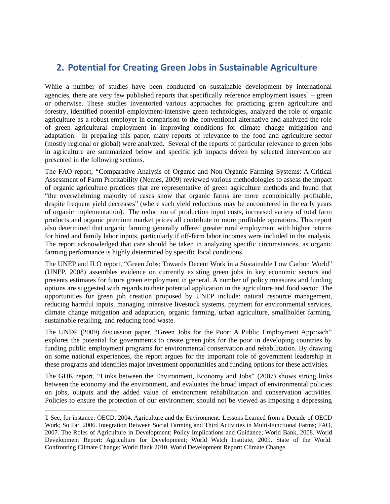# **2. Potential for Creating Green Jobs in Sustainable Agriculture**

While a number of studies have been conducted on sustainable development by international agencies, there are very few published reports that specifically reference employment issues  $1 1 -$  green or otherwise. These studies inventoried various approaches for practicing green agriculture and forestry, identified potential employment-intensive green technologies, analyzed the role of organic agriculture as a robust employer in comparison to the conventional alternative and analyzed the role of green agricultural employment in improving conditions for climate change mitigation and adaptation. In preparing this paper, many reports of relevance to the food and agriculture sector (mostly regional or global) were analyzed. Several of the reports of particular relevance to green jobs in agriculture are summarized below and specific job impacts driven by selected intervention are presented in the following sections.

The FAO report, "Comparative Analysis of Organic and Non-Organic Farming Systems: A Critical Assessment of Farm Profitability (Nemes, 2009) reviewed various methodologies to assess the impact of organic agriculture practices that are representative of green agriculture methods and found that "the overwhelming majority of cases show that organic farms are more economically profitable, despite frequent yield decreases" (where such yield reductions may be encountered in the early years of organic implementation). The reduction of production input costs, increased variety of total farm products and organic premium market prices all contribute to more profitable operations. This report also determined that organic farming generally offered greater rural employment with higher returns for hired and family labor inputs, particularly if off-farm labor incomes were included in the analysis. The report acknowledged that care should be taken in analyzing specific circumstances, as organic farming performance is highly determined by specific local conditions.

The UNEP and ILO report, "Green Jobs: Towards Decent Work in a Sustainable Low Carbon World" (UNEP, 2008) assembles evidence on currently existing green jobs in key economic sectors and presents estimates for future green employment in general. A number of policy measures and funding options are suggested with regards to their potential application in the agriculture and food sector. The opportunities for green job creation proposed by UNEP include: natural resource management, reducing harmful inputs, managing intensive livestock systems, payment for environmental services, climate change mitigation and adaptation, organic farming, urban agriculture, smallholder farming, sustainable retailing, and reducing food waste.

The UNDP (2009) discussion paper, "Green Jobs for the Poor: A Public Employment Approach" explores the potential for governments to create green jobs for the poor in developing countries by funding public employment programs for environmental conservation and rehabilitation. By drawing on some national experiences, the report argues for the important role of government leadership in these programs and identifies major investment opportunities and funding options for these activities.

The GHK report, "Links between the Environment, Economy and Jobs" (2007) shows strong links between the economy and the environment, and evaluates the broad impact of environmental policies on jobs, outputs and the added value of environment rehabilitation and conservation activities. Policies to ensure the protection of our environment should not be viewed as imposing a depressing

<span id="page-6-0"></span><sup>1</sup> See, for instance: OECD, 2004. Agriculture and the Environment: Lessons Learned from a Decade of OECD Work; So Far, 2006. Integration Between Social Farming and Third Activities in Multi-Functional Farms; FAO, 2007. The Roles of Agriculture in Development: Policy Implications and Guidance; World Bank, 2008. World Development Report: Agriculture for Development; World Watch Institute, 2009. State of the World: Confronting Climate Change; World Bank 2010. World Development Report: Climate Change.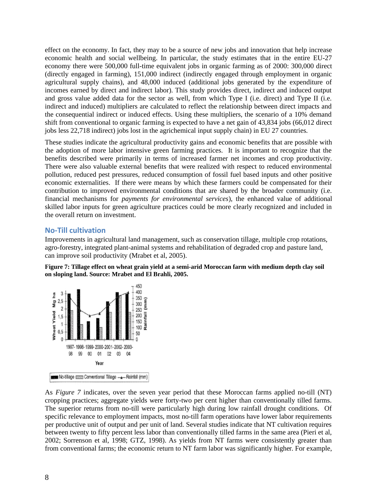effect on the economy. In fact, they may to be a source of new jobs and innovation that help increase economic health and social wellbeing. In particular, the study estimates that in the entire EU-27 economy there were 500,000 full-time equivalent jobs in organic farming as of 2000: 300,000 direct (directly engaged in farming), 151,000 indirect (indirectly engaged through employment in organic agricultural supply chains), and 48,000 induced (additional jobs generated by the expenditure of incomes earned by direct and indirect labor). This study provides direct, indirect and induced output and gross value added data for the sector as well, from which Type I (i.e. direct) and Type II (i.e. indirect and induced) multipliers are calculated to reflect the relationship between direct impacts and the consequential indirect or induced effects. Using these multipliers, the scenario of a 10% demand shift from conventional to organic farming is expected to have a net gain of 43,834 jobs (66,012 direct jobs less 22,718 indirect) jobs lost in the agrichemical input supply chain) in EU 27 countries.

These studies indicate the agricultural productivity gains and economic benefits that are possible with the adoption of more labor intensive green farming practices. It is important to recognize that the benefits described were primarily in terms of increased farmer net incomes and crop productivity. There were also valuable external benefits that were realized with respect to reduced environmental pollution, reduced pest pressures, reduced consumption of fossil fuel based inputs and other positive economic externalities. If there were means by which these farmers could be compensated for their contribution to improved environmental conditions that are shared by the broader community (i.e. financial mechanisms for *payments for environmental services*), the enhanced value of additional skilled labor inputs for green agriculture practices could be more clearly recognized and included in the overall return on investment.

# **No-Till cultivation**

Improvements in agricultural land management, such as conservation tillage, multiple crop rotations, agro-forestry, integrated plant-animal systems and rehabilitation of degraded crop and pasture land, can improve soil productivity (Mrabet et al, 2005).





As *Figure 7* indicates, over the seven year period that these Moroccan farms applied no-till (NT) cropping practices; aggregate yields were forty-two per cent higher than conventionally tilled farms. The superior returns from no-till were particularly high during low rainfall drought conditions. Of specific relevance to employment impacts, most no-till farm operations have lower labor requirements per productive unit of output and per unit of land. Several studies indicate that NT cultivation requires between twenty to fifty percent less labor than conventionally tilled farms in the same area (Pieri et al, 2002; Sorrenson et al, 1998; GTZ, 1998). As yields from NT farms were consistently greater than from conventional farms; the economic return to NT farm labor was significantly higher. For example,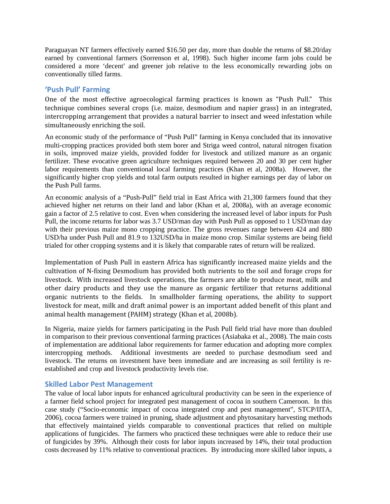Paraguayan NT farmers effectively earned \$16.50 per day, more than double the returns of \$8.20/day earned by conventional farmers (Sorrenson et al, 1998). Such higher income farm jobs could be considered a more 'decent' and greener job relative to the less economically rewarding jobs on conventionally tilled farms.

# **'Push Pull' Farming**

One of the most effective agroecological farming practices is known as "Push Pull." This technique combines several crops (i.e. maize, desmodium and napier grass) in an integrated, intercropping arrangement that provides a natural barrier to insect and weed infestation while simultaneously enriching the soil.

An economic study of the performance of "Push Pull" farming in Kenya concluded that its innovative multi-cropping practices provided both stem borer and Striga weed control, natural nitrogen fixation in soils, improved maize yields, provided fodder for livestock and utilized manure as an organic fertilizer. These evocative green agriculture techniques required between 20 and 30 per cent higher labor requirements than conventional local farming practices (Khan et al, 2008a). However, the significantly higher crop yields and total farm outputs resulted in higher earnings per day of labor on the Push Pull farms.

An economic analysis of a "Push-Pull" field trial in East Africa with 21,300 farmers found that they achieved higher net returns on their land and labor (Khan et al, 2008a), with an average economic gain a factor of 2.5 relative to cost. Even when considering the increased level of labor inputs for Push Pull, the income returns for labor was 3.7 USD/man day with Push Pull as opposed to 1 USD/man day with their previous maize mono cropping practice. The gross revenues range between 424 and 880 USD/ha under Push Pull and 81.9 to 132USD/ha in maize mono crop. Similar systems are being field trialed for other cropping systems and it is likely that comparable rates of return will be realized.

Implementation of Push Pull in eastern Africa has significantly increased maize yields and the cultivation of N-fixing Desmodium has provided both nutrients to the soil and forage crops for livestock. With increased livestock operations, the farmers are able to produce meat, milk and other dairy products and they use the manure as organic fertilizer that returns additional organic nutrients to the fields. In smallholder farming operations, the ability to support livestock for meat, milk and draft animal power is an important added benefit of this plant and animal health management (PAHM) strategy (Khan et al, 2008b).

In Nigeria, maize yields for farmers participating in the Push Pull field trial have more than doubled in comparison to their previous conventional farming practices (Asiabaka et al., 2008). The main costs of implementation are additional labor requirements for farmer education and adopting more complex intercropping methods. Additional investments are needed to purchase desmodium seed and livestock. The returns on investment have been immediate and are increasing as soil fertility is reestablished and crop and livestock productivity levels rise.

## **Skilled Labor Pest Management**

The value of local labor inputs for enhanced agricultural productivity can be seen in the experience of a farmer field school project for integrated pest management of cocoa in southern Cameroon. In this case study ("Socio-economic impact of cocoa integrated crop and pest management", STCP/IITA, 2006), cocoa farmers were trained in pruning, shade adjustment and phytosanitary harvesting methods that effectively maintained yields comparable to conventional practices that relied on multiple applications of fungicides. The farmers who practiced these techniques were able to reduce their use of fungicides by 39%. Although their costs for labor inputs increased by 14%, their total production costs decreased by 11% relative to conventional practices. By introducing more skilled labor inputs, a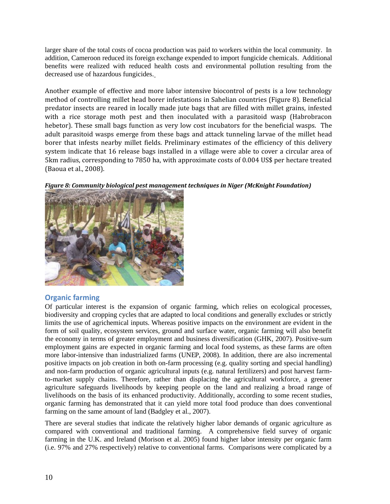larger share of the total costs of cocoa production was paid to workers within the local community. In addition, Cameroon reduced its foreign exchange expended to import fungicide chemicals. Additional benefits were realized with reduced health costs and environmental pollution resulting from the decreased use of hazardous fungicides.

Another example of effective and more labor intensive biocontrol of pests is a low technology method of controlling millet head borer infestations in Sahelian countries (Figure 8). Beneficial predator insects are reared in locally made jute bags that are filled with millet grains, infested with a rice storage moth pest and then inoculated with a parasitoid wasp (Habrobracon hebetor). These small bags function as very low cost incubators for the beneficial wasps. The adult parasitoid wasps emerge from these bags and attack tunneling larvae of the millet head borer that infests nearby millet fields. Preliminary estimates of the efficiency of this delivery system indicate that 16 release bags installed in a village were able to cover a circular area of 5km radius, corresponding to 7850 ha, with approximate costs of 0.004 US\$ per hectare treated (Baoua et al., 2008).

*Figure 8: Community biological pest management techniques in Niger (McKnight Foundation)*



# **Organic farming**

Of particular interest is the expansion of organic farming, which relies on ecological processes, biodiversity and cropping cycles that are adapted to local conditions and generally excludes or strictly limits the use of agrichemical inputs. Whereas positive impacts on the environment are evident in the form of soil quality, ecosystem services, ground and surface water, organic farming will also benefit the economy in terms of greater employment and business diversification (GHK, 2007). Positive-sum employment gains are expected in organic farming and local food systems, as these farms are often more labor-intensive than industrialized farms (UNEP, 2008). In addition, there are also incremental positive impacts on job creation in both on-farm processing (e.g. quality sorting and special handling) and non-farm production of organic agricultural inputs (e.g. natural fertilizers) and post harvest farmto-market supply chains. Therefore, rather than displacing the agricultural workforce, a greener agriculture safeguards livelihoods by keeping people on the land and realizing a broad range of livelihoods on the basis of its enhanced productivity. Additionally, according to some recent studies, organic farming has demonstrated that it can yield more total food produce than does conventional farming on the same amount of land (Badgley et al., 2007).

There are several studies that indicate the relatively higher labor demands of organic agriculture as compared with conventional and traditional farming. A comprehensive field survey of organic farming in the U.K. and Ireland (Morison et al. 2005) found higher labor intensity per organic farm (i.e. 97% and 27% respectively) relative to conventional farms. Comparisons were complicated by a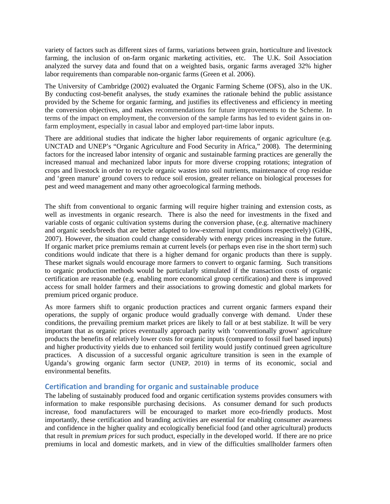variety of factors such as different sizes of farms, variations between grain, horticulture and livestock farming, the inclusion of on-farm organic marketing activities, etc. The U.K. Soil Association analyzed the survey data and found that on a weighted basis, organic farms averaged 32% higher labor requirements than comparable non-organic farms (Green et al. 2006).

The University of Cambridge (2002) evaluated the Organic Farming Scheme (OFS), also in the UK. By conducting cost-benefit analyses, the study examines the rationale behind the public assistance provided by the Scheme for organic farming, and justifies its effectiveness and efficiency in meeting the conversion objectives, and makes recommendations for future improvements to the Scheme. In terms of the impact on employment, the conversion of the sample farms has led to evident gains in onfarm employment, especially in casual labor and employed part-time labor inputs.

There are additional studies that indicate the higher labor requirements of organic agriculture (e.g. UNCTAD and UNEP's "Organic Agriculture and Food Security in Africa," 2008). The determining factors for the increased labor intensity of organic and sustainable farming practices are generally the increased manual and mechanized labor inputs for more diverse cropping rotations; integration of crops and livestock in order to recycle organic wastes into soil nutrients, maintenance of crop residue and 'green manure' ground covers to reduce soil erosion, greater reliance on biological processes for pest and weed management and many other agroecological farming methods.

The shift from conventional to organic farming will require higher training and extension costs, as well as investments in organic research. There is also the need for investments in the fixed and variable costs of organic cultivation systems during the conversion phase, (e.g. alternative machinery and organic seeds/breeds that are better adapted to low-external input conditions respectively) (GHK, 2007). However, the situation could change considerably with energy prices increasing in the future. If organic market price premiums remain at current levels (or perhaps even rise in the short term) such conditions would indicate that there is a higher demand for organic products than there is supply. These market signals would encourage more farmers to convert to organic farming. Such transitions to organic production methods would be particularly stimulated if the transaction costs of organic certification are reasonable (e.g. enabling more economical group certification) and there is improved access for small holder farmers and their associations to growing domestic and global markets for premium priced organic produce.

As more farmers shift to organic production practices and current organic farmers expand their operations, the supply of organic produce would gradually converge with demand. Under these conditions, the prevailing premium market prices are likely to fall or at best stabilize. It will be very important that as organic prices eventually approach parity with 'conventionally grown' agriculture products the benefits of relatively lower costs for organic inputs (compared to fossil fuel based inputs) and higher productivity yields due to enhanced soil fertility would justify continued green agriculture practices. A discussion of a successful organic agriculture transition is seen in the example of Uganda's growing organic farm sector (UNEP, 2010) in terms of its economic, social and environmental benefits.

## **Certification and branding for organic and sustainable produce**

The labeling of sustainably produced food and organic certification systems provides consumers with information to make responsible purchasing decisions. As consumer demand for such products increase, food manufacturers will be encouraged to market more eco-friendly products. Most importantly, these certification and branding activities are essential for enabling consumer awareness and confidence in the higher quality and ecologically beneficial food (and other agricultural) products that result in *premium prices* for such product, especially in the developed world. If there are no price premiums in local and domestic markets, and in view of the difficulties smallholder farmers often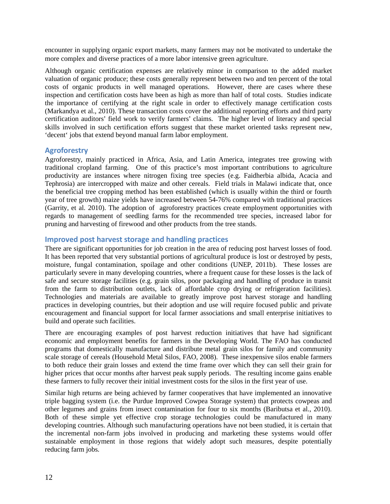encounter in supplying organic export markets, many farmers may not be motivated to undertake the more complex and diverse practices of a more labor intensive green agriculture.

Although organic certification expenses are relatively minor in comparison to the added market valuation of organic produce; these costs generally represent between two and ten percent of the total costs of organic products in well managed operations. However, there are cases where these inspection and certification costs have been as high as more than half of total costs. Studies indicate the importance of certifying at the right scale in order to effectively manage certification costs (Markandya et al., 2010). These transaction costs cover the additional reporting efforts and third party certification auditors' field work to verify farmers' claims. The higher level of literacy and special skills involved in such certification efforts suggest that these market oriented tasks represent new, 'decent' jobs that extend beyond manual farm labor employment.

# **Agroforestry**

Agroforestry, mainly practiced in Africa, Asia, and Latin America, integrates tree growing with traditional cropland farming. One of this practice's most important contributions to agriculture productivity are instances where nitrogen fixing tree species (e.g. Faidherbia albida, Acacia and Tephrosia) are intercropped with maize and other cereals. Field trials in Malawi indicate that, once the beneficial tree cropping method has been established (which is usually within the third or fourth year of tree growth) maize yields have increased between 54-76% compared with traditional practices (Garrity, et al. 2010). The adoption of agroforestry practices create employment opportunities with regards to management of seedling farms for the recommended tree species, increased labor for pruning and harvesting of firewood and other products from the tree stands.

# **Improved post harvest storage and handling practices**

There are significant opportunities for job creation in the area of reducing post harvest losses of food. It has been reported that very substantial portions of agricultural produce is lost or destroyed by pests, moisture, fungal contamination, spoilage and other conditions (UNEP, 2011b). These losses are particularly severe in many developing countries, where a frequent cause for these losses is the lack of safe and secure storage facilities (e.g. grain silos, poor packaging and handling of produce in transit from the farm to distribution outlets, lack of affordable crop drying or refrigeration facilities). Technologies and materials are available to greatly improve post harvest storage and handling practices in developing countries, but their adoption and use will require focused public and private encouragement and financial support for local farmer associations and small enterprise initiatives to build and operate such facilities.

There are encouraging examples of post harvest reduction initiatives that have had significant economic and employment benefits for farmers in the Developing World. The FAO has conducted programs that domestically manufacture and distribute metal grain silos for family and community scale storage of cereals (Household Metal Silos, FAO, 2008). These inexpensive silos enable farmers to both reduce their grain losses and extend the time frame over which they can sell their grain for higher prices that occur months after harvest peak supply periods. The resulting income gains enable these farmers to fully recover their initial investment costs for the silos in the first year of use.

Similar high returns are being achieved by farmer cooperatives that have implemented an innovative triple bagging system (i.e. the Purdue Improved Cowpea Storage system) that protects cowpeas and other legumes and grains from insect contamination for four to six months (Baributsa et al., 2010). Both of these simple yet effective crop storage technologies could be manufactured in many developing countries. Although such manufacturing operations have not been studied, it is certain that the incremental non-farm jobs involved in producing and marketing these systems would offer sustainable employment in those regions that widely adopt such measures, despite potentially reducing farm jobs.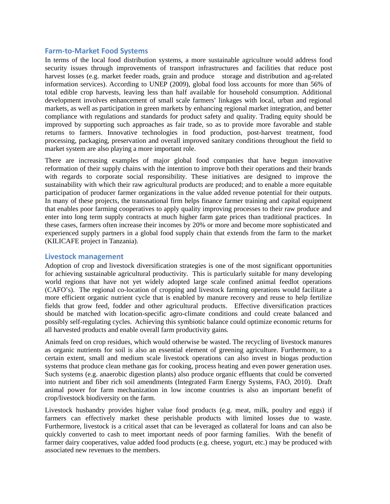#### **Farm-to-Market Food Systems**

In terms of the local food distribution systems, a more sustainable agriculture would address food security issues through improvements of transport infrastructures and facilities that reduce post harvest losses (e.g. market feeder roads, grain and produce storage and distribution and ag-related information services). According to UNEP (2009), global food loss accounts for more than 56% of total edible crop harvests, leaving less than half available for household consumption. Additional development involves enhancement of small scale farmers' linkages with local, urban and regional markets, as well as participation in green markets by enhancing regional market integration, and better compliance with regulations and standards for product safety and quality. Trading equity should be improved by supporting such approaches as fair trade, so as to provide more favorable and stable returns to farmers. Innovative technologies in food production, post-harvest treatment, food processing, packaging, preservation and overall improved sanitary conditions throughout the field to market system are also playing a more important role.

There are increasing examples of major global food companies that have begun innovative reformation of their supply chains with the intention to improve both their operations and their brands with regards to corporate social responsibility. These initiatives are designed to improve the sustainability with which their raw agricultural products are produced; and to enable a more equitable participation of producer farmer organizations in the value added revenue potential for their outputs. In many of these projects, the transnational firm helps finance farmer training and capital equipment that enables poor farming cooperatives to apply quality improving processes to their raw produce and enter into long term supply contracts at much higher farm gate prices than traditional practices. In these cases, farmers often increase their incomes by 20% or more and become more sophisticated and experienced supply partners in a global food supply chain that extends from the farm to the market (KILICAFE project in Tanzania).

#### **Livestock management**

Adoption of crop and livestock diversification strategies is one of the most significant opportunities for achieving sustainable agricultural productivity. This is particularly suitable for many developing world regions that have not yet widely adopted large scale confined animal feedlot operations (CAFO's). The regional co-location of cropping and livestock farming operations would facilitate a more efficient organic nutrient cycle that is enabled by manure recovery and reuse to help fertilize fields that grow feed, fodder and other agricultural products. Effective diversification practices should be matched with location-specific agro-climate conditions and could create balanced and possibly self-regulating cycles. Achieving this symbiotic balance could optimize economic returns for all harvested products and enable overall farm productivity gains.

Animals feed on crop residues, which would otherwise be wasted. The recycling of livestock manures as organic nutrients for soil is also an essential element of greening agriculture. Furthermore, to a certain extent, small and medium scale livestock operations can also invest in biogas production systems that produce clean methane gas for cooking, process heating and even power generation uses. Such systems (e.g. anaerobic digestion plants) also produce organic effluents that could be converted into nutrient and fiber rich soil amendments (Integrated Farm Energy Systems, FAO, 2010). Draft animal power for farm mechanization in low income countries is also an important benefit of crop/livestock biodiversity on the farm.

Livestock husbandry provides higher value food products (e.g. meat, milk, poultry and eggs) if farmers can effectively market these perishable products with limited losses due to waste. Furthermore, livestock is a critical asset that can be leveraged as collateral for loans and can also be quickly converted to cash to meet important needs of poor farming families. With the benefit of farmer dairy cooperatives, value added food products (e.g. cheese, yogurt, etc.) may be produced with associated new revenues to the members.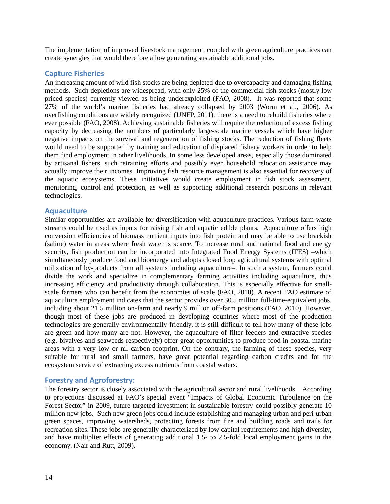The implementation of improved livestock management, coupled with green agriculture practices can create synergies that would therefore allow generating sustainable additional jobs.

#### **Capture Fisheries**

An increasing amount of wild fish stocks are being depleted due to overcapacity and damaging fishing methods. Such depletions are widespread, with only 25% of the commercial fish stocks (mostly low priced species) currently viewed as being underexploited (FAO, 2008). It was reported that some 27% of the world's marine fisheries had already collapsed by 2003 (Worm et al., 2006). As overfishing conditions are widely recognized (UNEP, 2011), there is a need to rebuild fisheries where ever possible (FAO, 2008). Achieving sustainable fisheries will require the reduction of excess fishing capacity by decreasing the numbers of particularly large-scale marine vessels which have higher negative impacts on the survival and regeneration of fishing stocks. The reduction of fishing fleets would need to be supported by training and education of displaced fishery workers in order to help them find employment in other livelihoods. In some less developed areas, especially those dominated by artisanal fishers, such retraining efforts and possibly even household relocation assistance may actually improve their incomes. Improving fish resource management is also essential for recovery of the aquatic ecosystems. These initiatives would create employment in fish stock assessment, monitoring, control and protection, as well as supporting additional research positions in relevant technologies.

## **Aquaculture**

Similar opportunities are available for diversification with aquaculture practices. Various farm waste streams could be used as inputs for raising fish and aquatic edible plants. Aquaculture offers high conversion efficiencies of biomass nutrient inputs into fish protein and may be able to use brackish (saline) water in areas where fresh water is scarce. To increase rural and national food and energy security, fish production can be incorporated into Integrated Food Energy Systems (IFES) –which simultaneously produce food and bioenergy and adopts closed loop agricultural systems with optimal utilization of by-products from all systems including aquaculture–. In such a system, farmers could divide the work and specialize in complementary farming activities including aquaculture, thus increasing efficiency and productivity through collaboration. This is especially effective for smallscale farmers who can benefit from the economies of scale (FAO, 2010). A recent FAO estimate of aquaculture employment indicates that the sector provides over 30.5 million full-time-equivalent jobs, including about 21.5 million on-farm and nearly 9 million off-farm positions (FAO, 2010). However, though most of these jobs are produced in developing countries where most of the production technologies are generally environmentally-friendly, it is still difficult to tell how many of these jobs are green and how many are not. However, the aquaculture of filter feeders and extractive species (e.g. bivalves and seaweeds respectively) offer great opportunities to produce food in coastal marine areas with a very low or nil carbon footprint. On the contrary, the farming of these species, very suitable for rural and small farmers, have great potential regarding carbon credits and for the ecosystem service of extracting excess nutrients from coastal waters.

## **Forestry and Agroforestry:**

The forestry sector is closely associated with the agricultural sector and rural livelihoods. According to projections discussed at FAO's special event "Impacts of Global Economic Turbulence on the Forest Sector" in 2009, future targeted investment in sustainable forestry could possibly generate 10 million new jobs. Such new green jobs could include establishing and managing urban and peri-urban green spaces, improving watersheds, protecting forests from fire and building roads and trails for recreation sites. These jobs are generally characterized by low capital requirements and high diversity, and have multiplier effects of generating additional 1.5- to 2.5-fold local employment gains in the economy. (Nair and Rutt, 2009).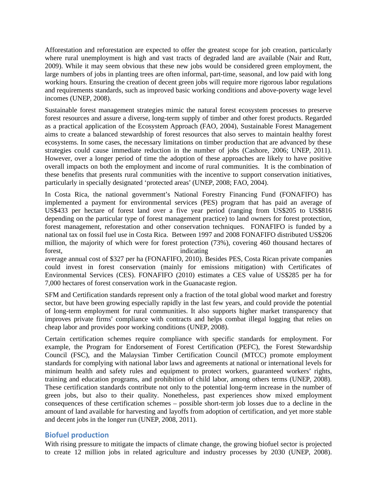Afforestation and reforestation are expected to offer the greatest scope for job creation, particularly where rural unemployment is high and vast tracts of degraded land are available (Nair and Rutt, 2009). While it may seem obvious that these new jobs would be considered green employment, the large numbers of jobs in planting trees are often informal, part-time, seasonal, and low paid with long working hours. Ensuring the creation of decent green jobs will require more rigorous labor regulations and requirements standards, such as improved basic working conditions and above-poverty wage level incomes (UNEP, 2008).

Sustainable forest management strategies mimic the natural forest ecosystem processes to preserve forest resources and assure a diverse, long-term supply of timber and other forest products. Regarded as a practical application of the Ecosystem Approach (FAO, 2004), Sustainable Forest Management aims to create a balanced stewardship of forest resources that also serves to maintain healthy forest ecosystems. In some cases, the necessary limitations on timber production that are advanced by these strategies could cause immediate reduction in the number of jobs (Cashore, 2006; UNEP, 2011). However, over a longer period of time the adoption of these approaches are likely to have positive overall impacts on both the employment and income of rural communities. It is the combination of these benefits that presents rural communities with the incentive to support conservation initiatives, particularly in specially designated 'protected areas' (UNEP, 2008; FAO, 2004).

In Costa Rica, the national government's National Forestry Financing Fund (FONAFIFO) has implemented a payment for environmental services (PES) program that has paid an average of US\$433 per hectare of forest land over a five year period (ranging from US\$205 to US\$816 depending on the particular type of forest management practice) to land owners for forest protection, forest management, reforestation and other conservation techniques. FONAFIFO is funded by a national tax on fossil fuel use in Costa Rica. Between 1997 and 2008 FONAFIFO distributed US\$206 million, the majority of which were for forest protection (73%), covering 460 thousand hectares of forest, and indicating and indicating and indicating and indicating and indicating and indicating and indicating and indicating and indicating and indicating and indicating and indicating and indicating and indicating and

average annual cost of \$327 per ha (FONAFIFO, 2010). Besides PES, Costa Rican private companies could invest in forest conservation (mainly for emissions mitigation) with Certificates of Environmental Services (CES). FONAFIFO (2010) estimates a CES value of US\$285 per ha for 7,000 hectares of forest conservation work in the Guanacaste region.

SFM and Certification standards represent only a fraction of the total global wood market and forestry sector, but have been growing especially rapidly in the last few years, and could provide the potential of long-term employment for rural communities. It also supports higher market transparency that improves private firms' compliance with contracts and helps combat illegal logging that relies on cheap labor and provides poor working conditions (UNEP, 2008).

Certain certification schemes require compliance with specific standards for employment. For example, the Program for Endorsement of Forest Certification (PEFC), the Forest Stewardship Council (FSC), and the Malaysian Timber Certification Council (MTCC) promote employment standards for complying with national labor laws and agreements at national or international levels for minimum health and safety rules and equipment to protect workers, guaranteed workers' rights, training and education programs, and prohibition of child labor, among others terms (UNEP, 2008). These certification standards contribute not only to the potential long-term increase in the number of green jobs, but also to their quality. Nonetheless, past experiences show mixed employment consequences of these certification schemes – possible short-term job losses due to a decline in the amount of land available for harvesting and layoffs from adoption of certification, and yet more stable and decent jobs in the longer run (UNEP, 2008, 2011).

# **Biofuel production**

With rising pressure to mitigate the impacts of climate change, the growing biofuel sector is projected to create 12 million jobs in related agriculture and industry processes by 2030 (UNEP, 2008).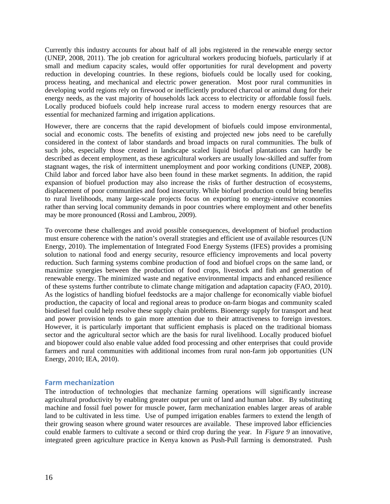Currently this industry accounts for about half of all jobs registered in the renewable energy sector (UNEP, 2008, 2011). The job creation for agricultural workers producing biofuels, particularly if at small and medium capacity scales, would offer opportunities for rural development and poverty reduction in developing countries. In these regions, biofuels could be locally used for cooking, process heating, and mechanical and electric power generation. Most poor rural communities in developing world regions rely on firewood or inefficiently produced charcoal or animal dung for their energy needs, as the vast majority of households lack access to electricity or affordable fossil fuels. Locally produced biofuels could help increase rural access to modern energy resources that are essential for mechanized farming and irrigation applications.

However, there are concerns that the rapid development of biofuels could impose environmental, social and economic costs. The benefits of existing and projected new jobs need to be carefully considered in the context of labor standards and broad impacts on rural communities. The bulk of such jobs, especially those created in landscape scaled liquid biofuel plantations can hardly be described as decent employment, as these agricultural workers are usually low-skilled and suffer from stagnant wages, the risk of intermittent unemployment and poor working conditions (UNEP, 2008). Child labor and forced labor have also been found in these market segments. In addition, the rapid expansion of biofuel production may also increase the risks of further destruction of ecosystems, displacement of poor communities and food insecurity. While biofuel production could bring benefits to rural livelihoods, many large-scale projects focus on exporting to energy-intensive economies rather than serving local community demands in poor countries where employment and other benefits may be more pronounced (Rossi and Lambrou, 2009).

To overcome these challenges and avoid possible consequences, development of biofuel production must ensure coherence with the nation's overall strategies and efficient use of available resources (UN Energy, 2010). The implementation of Integrated Food Energy Systems (IFES) provides a promising solution to national food and energy security, resource efficiency improvements and local poverty reduction. Such farming systems combine production of food and biofuel crops on the same land, or maximize synergies between the production of food crops, livestock and fish and generation of renewable energy. The minimized waste and negative environmental impacts and enhanced resilience of these systems further contribute to climate change mitigation and adaptation capacity (FAO, 2010). As the logistics of handling biofuel feedstocks are a major challenge for economically viable biofuel production, the capacity of local and regional areas to produce on-farm biogas and community scaled biodiesel fuel could help resolve these supply chain problems. Bioenergy supply for transport and heat and power provision tends to gain more attention due to their attractiveness to foreign investors. However, it is particularly important that sufficient emphasis is placed on the traditional biomass sector and the agricultural sector which are the basis for rural livelihood. Locally produced biofuel and biopower could also enable value added food processing and other enterprises that could provide farmers and rural communities with additional incomes from rural non-farm job opportunities (UN Energy, 2010; IEA, 2010).

#### **Farm mechanization**

The introduction of technologies that mechanize farming operations will significantly increase agricultural productivity by enabling greater output per unit of land and human labor. By substituting machine and fossil fuel power for muscle power, farm mechanization enables larger areas of arable land to be cultivated in less time. Use of pumped irrigation enables farmers to extend the length of their growing season where ground water resources are available. These improved labor efficiencies could enable farmers to cultivate a second or third crop during the year. In *Figure 9* an innovative, integrated green agriculture practice in Kenya known as Push-Pull farming is demonstrated. Push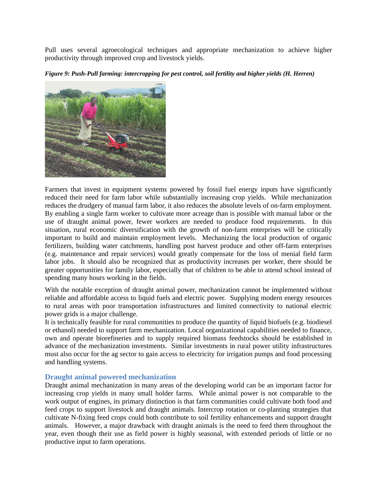Pull uses several agroecological techniques and appropriate mechanization to achieve higher productivity through improved crop and livestock yields.

*Figure 9: Push-Pull farming: intercropping for pest control, soil fertility and higher yields (H. Herren)* 



Farmers that invest in equipment systems powered by fossil fuel energy inputs have significantly reduced their need for farm labor while substantially increasing crop yields. While mechanization reduces the drudgery of manual farm labor, it also reduces the absolute levels of on-farm employment. By enabling a single farm worker to cultivate more acreage than is possible with manual labor or the use of draught animal power, fewer workers are needed to produce food requirements. In this situation, rural economic diversification with the growth of non-farm enterprises will be critically important to build and maintain employment levels. Mechanizing the local production of organic fertilizers, building water catchments, handling post harvest produce and other off-farm enterprises (e.g. maintenance and repair services) would greatly compensate for the loss of menial field farm labor jobs. It should also be recognized that as productivity increases per worker, there should be greater opportunities for family labor, especially that of children to be able to attend school instead of spending many hours working in the fields.

With the notable exception of draught animal power, mechanization cannot be implemented without reliable and affordable access to liquid fuels and electric power. Supplying modern energy resources to rural areas with poor transportation infrastructures and limited connectivity to national electric power grids is a major challenge.

It is technically feasible for rural communities to produce the quantity of liquid biofuels (e.g. biodiesel or ethanol) needed to support farm mechanization. Local organizational capabilities needed to finance, own and operate biorefineries and to supply required biomass feedstocks should be established in advance of the mechanization investments. Similar investments in rural power utility infrastructures must also occur for the ag sector to gain access to electricity for irrigation pumps and food processing and handling systems.

## **Draught animal powered mechanization**

Draught animal mechanization in many areas of the developing world can be an important factor for increasing crop yields in many small holder farms. While animal power is not comparable to the work output of engines, its primary distinction is that farm communities could cultivate both food and feed crops to support livestock and draught animals. Intercrop rotation or co-planting strategies that cultivate N-fixing feed crops could both contribute to soil fertility enhancements and support draught animals. However, a major drawback with draught animals is the need to feed them throughout the year, even though their use as field power is highly seasonal, with extended periods of little or no productive input to farm operations.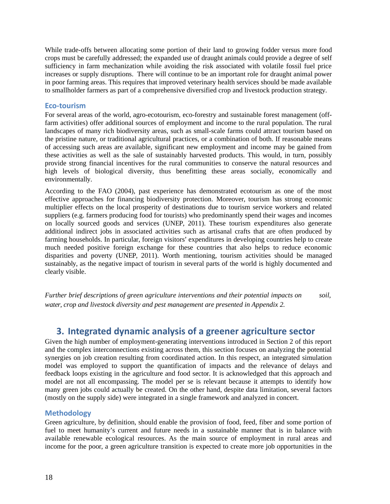While trade-offs between allocating some portion of their land to growing fodder versus more food crops must be carefully addressed; the expanded use of draught animals could provide a degree of self sufficiency in farm mechanization while avoiding the risk associated with volatile fossil fuel price increases or supply disruptions. There will continue to be an important role for draught animal power in poor farming areas. This requires that improved veterinary health services should be made available to smallholder farmers as part of a comprehensive diversified crop and livestock production strategy.

#### **Eco-tourism**

For several areas of the world, agro-ecotourism, eco-forestry and sustainable forest management (offfarm activities) offer additional sources of employment and income to the rural population. The rural landscapes of many rich biodiversity areas, such as small-scale farms could attract tourism based on the pristine nature, or traditional agricultural practices, or a combination of both. If reasonable means of accessing such areas are available, significant new employment and income may be gained from these activities as well as the sale of sustainably harvested products. This would, in turn, possibly provide strong financial incentives for the rural communities to conserve the natural resources and high levels of biological diversity, thus benefitting these areas socially, economically and environmentally.

According to the FAO (2004), past experience has demonstrated ecotourism as one of the most effective approaches for financing biodiversity protection. Moreover, tourism has strong economic multiplier effects on the local prosperity of destinations due to tourism service workers and related suppliers (e.g. farmers producing food for tourists) who predominantly spend their wages and incomes on locally sourced goods and services (UNEP, 2011). These tourism expenditures also generate additional indirect jobs in associated activities such as artisanal crafts that are often produced by farming households. In particular, foreign visitors' expenditures in developing countries help to create much needed positive foreign exchange for these countries that also helps to reduce economic disparities and poverty (UNEP, 2011). Worth mentioning, tourism activities should be managed sustainably, as the negative impact of tourism in several parts of the world is highly documented and clearly visible.

*Further brief descriptions of green agriculture interventions and their potential impacts on soil, water, crop and livestock diversity and pest management are presented in Appendix 2.*

# **3. Integrated dynamic analysis of a greener agriculture sector**

Given the high number of employment-generating interventions introduced in Section 2 of this report and the complex interconnections existing across them, this section focuses on analyzing the potential synergies on job creation resulting from coordinated action. In this respect, an integrated simulation model was employed to support the quantification of impacts and the relevance of delays and feedback loops existing in the agriculture and food sector. It is acknowledged that this approach and model are not all encompassing. The model per se is relevant because it attempts to identify how many green jobs could actually be created. On the other hand, despite data limitation, several factors (mostly on the supply side) were integrated in a single framework and analyzed in concert.

## **Methodology**

Green agriculture, by definition, should enable the provision of food, feed, fiber and some portion of fuel to meet humanity's current and future needs in a sustainable manner that is in balance with available renewable ecological resources. As the main source of employment in rural areas and income for the poor, a green agriculture transition is expected to create more job opportunities in the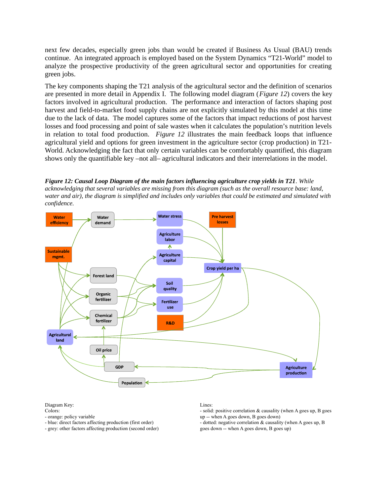next few decades, especially green jobs than would be created if Business As Usual (BAU) trends continue. An integrated approach is employed based on the System Dynamics "T21-World" model to analyze the prospective productivity of the green agricultural sector and opportunities for creating green jobs.

The key components shaping the T21 analysis of the agricultural sector and the definition of scenarios are presented in more detail in Appendix I. The following model diagram (*Figure 12*) covers the key factors involved in agricultural production. The performance and interaction of factors shaping post harvest and field-to-market food supply chains are not explicitly simulated by this model at this time due to the lack of data. The model captures some of the factors that impact reductions of post harvest losses and food processing and point of sale wastes when it calculates the population's nutrition levels in relation to total food production. *Figure 12* illustrates the main feedback loops that influence agricultural yield and options for green investment in the agriculture sector (crop production) in T21- World. Acknowledging the fact that only certain variables can be comfortably quantified, this diagram shows only the quantifiable key –not all– agricultural indicators and their interrelations in the model.

*Figure 12: Causal Loop Diagram of the main factors influencing agriculture crop yields in T21. While acknowledging that several variables are missing from this diagram (such as the overall resource base: land, water and air), the diagram is simplified and includes only variables that could be estimated and simulated with confidence.*



Diagram Key:

- orange: policy variable
- blue: direct factors affecting production (first order)
- grey: other factors affecting production (second order)

#### Lines:

- solid: positive correlation & causality (when A goes up, B goes up -- when A goes down, B goes down)
- dotted: negative correlation & causality (when A goes up, B goes down -- when A goes down, B goes up)

Colors: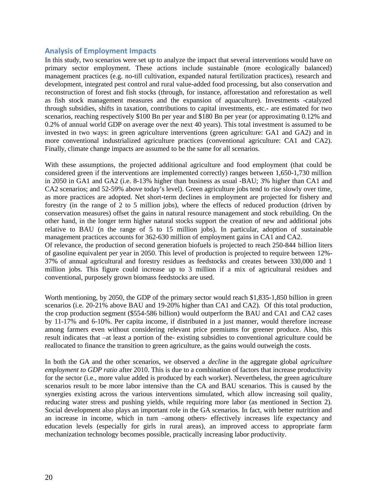# **Analysis of Employment Impacts**

In this study, two scenarios were set up to analyze the impact that several interventions would have on primary sector employment. These actions include sustainable (more ecologically balanced) management practices (e.g. no-till cultivation, expanded natural fertilization practices), research and development, integrated pest control and rural value-added food processing, but also conservation and reconstruction of forest and fish stocks (through, for instance, afforestation and reforestation as well as fish stock management measures and the expansion of aquaculture). Investments -catalyzed through subsidies, shifts in taxation, contributions to capital investments, etc.- are estimated for two scenarios, reaching respectively \$100 Bn per year and \$180 Bn per year (or approximating 0.12% and 0.2% of annual world GDP on average over the next 40 years). This total investment is assumed to be invested in two ways: in green agriculture interventions (green agriculture: GA1 and GA2) and in more conventional industrialized agriculture practices (conventional agriculture: CA1 and CA2). Finally, climate change impacts are assumed to be the same for all scenarios.

With these assumptions, the projected additional agriculture and food employment (that could be considered green if the interventions are implemented correctly) ranges between 1,650-1,730 million in 2050 in GA1 and GA2 (i.e. 8-13% higher than business as usual -BAU; 3% higher than CA1 and CA2 scenarios; and 52-59% above today's level). Green agriculture jobs tend to rise slowly over time, as more practices are adopted. Net short-term declines in employment are projected for fishery and forestry (in the range of 2 to 5 million jobs), where the effects of reduced production (driven by conservation measures) offset the gains in natural resource management and stock rebuilding. On the other hand, in the longer term higher natural stocks support the creation of new and additional jobs relative to BAU (n the range of 5 to 15 million jobs). In particular, adoption of sustainable management practices accounts for 362-630 million of employment gains in CA1 and CA2.

Of relevance, the production of second generation biofuels is projected to reach 250-844 billion liters of gasoline equivalent per year in 2050. This level of production is projected to require between 12%- 37% of annual agricultural and forestry residues as feedstocks and creates between 330,000 and 1 million jobs. This figure could increase up to 3 million if a mix of agricultural residues and conventional, purposely grown biomass feedstocks are used.

Worth mentioning, by 2050, the GDP of the primary sector would reach \$1,835-1,850 billion in green scenarios (i.e. 20-21% above BAU and 19-20% higher than CA1 and CA2). Of this total production, the crop production segment (\$554-586 billion) would outperform the BAU and CA1 and CA2 cases by 11-17% and 6-10%. Per capita income, if distributed in a just manner, would therefore increase among farmers even without considering relevant price premiums for greener produce. Also, this result indicates that –at least a portion of the- existing subsidies to conventional agriculture could be reallocated to finance the transition to green agriculture, as the gains would outweigh the costs.

In both the GA and the other scenarios, we observed a *decline* in the aggregate global *agriculture employment to GDP ratio* after 2010. This is due to a combination of factors that increase productivity for the sector (i.e., more value added is produced by each worker). Nevertheless, the green agriculture scenarios result to be more labor intensive than the CA and BAU scenarios. This is caused by the synergies existing across the various interventions simulated, which allow increasing soil quality, reducing water stress and pushing yields, while requiring more labor (as mentioned in Section 2). Social development also plays an important role in the GA scenarios. In fact, with better nutrition and an increase in income, which in turn –among others- effectively increases life expectancy and education levels (especially for girls in rural areas), an improved access to appropriate farm mechanization technology becomes possible, practically increasing labor productivity.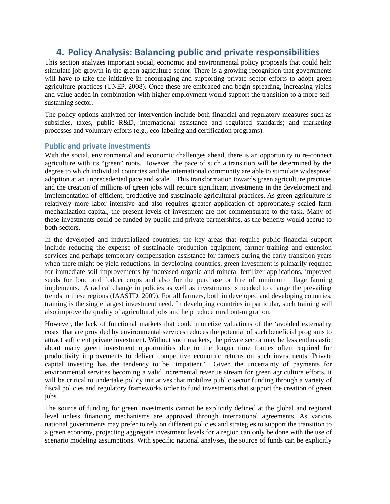# **4. Policy Analysis: Balancing public and private responsibilities**

This section analyzes important social, economic and environmental policy proposals that could help stimulate job growth in the green agriculture sector. There is a growing recognition that governments will have to take the initiative in encouraging and supporting private sector efforts to adopt green agriculture practices (UNEP, 2008). Once these are embraced and begin spreading, increasing yields and value added in combination with higher employment would support the transition to a more selfsustaining sector.

The policy options analyzed for intervention include both financial and regulatory measures such as subsidies, taxes, public R&D, international assistance and regulated standards; and marketing processes and voluntary efforts (e.g., eco-labeling and certification programs).

## **Public and private investments**

With the social, environmental and economic challenges ahead, there is an opportunity to re-connect agriculture with its "green" roots. However, the pace of such a transition will be determined by the degree to which individual countries and the international community are able to stimulate widespread adoption at an unprecedented pace and scale. This transformation towards green agriculture practices and the creation of millions of green jobs will require significant investments in the development and implementation of efficient, productive and sustainable agricultural practices. As green agriculture is relatively more labor intensive and also requires greater application of appropriately scaled farm mechanization capital, the present levels of investment are not commensurate to the task. Many of these investments could be funded by public and private partnerships, as the benefits would accrue to both sectors.

In the developed and industrialized countries, the key areas that require public financial support include reducing the expense of sustainable production equipment, farmer training and extension services and perhaps temporary compensation assistance for farmers during the early transition years when there might be yield reductions. In developing countries, green investment is primarily required for immediate soil improvements by increased organic and mineral fertilizer applications, improved seeds for food and fodder crops and also for the purchase or hire of minimum tillage farming implements. A radical change in policies as well as investments is needed to change the prevailing trends in these regions (IAASTD, 2009). For all farmers, both in developed and developing countries, training is the single largest investment need. In developing countries in particular, such training will also improve the quality of agricultural jobs and help reduce rural out-migration.

However, the lack of functional markets that could monetize valuations of the 'avoided externality costs' that are provided by environmental services reduces the potential of such beneficial programs to attract sufficient private investment. Without such markets, the private sector may be less enthusiastic about many green investment opportunities due to the longer time frames often required for productivity improvements to deliver competitive economic returns on such investments. Private capital investing has the tendency to be 'impatient.' Given the uncertainty of payments for environmental services becoming a valid incremental revenue stream for green agriculture efforts, it will be critical to undertake policy initiatives that mobilize public sector funding through a variety of fiscal policies and regulatory frameworks order to fund investments that support the creation of green jobs.

The source of funding for green investments cannot be explicitly defined at the global and regional level unless financing mechanisms are approved through international agreements. As various national governments may prefer to rely on different policies and strategies to support the transition to a green economy, projecting aggregate investment levels for a region can only be done with the use of scenario modeling assumptions. With specific national analyses, the source of funds can be explicitly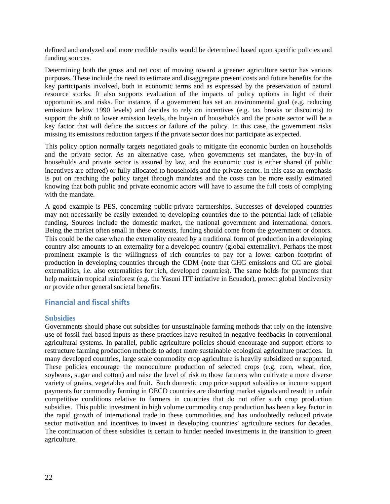defined and analyzed and more credible results would be determined based upon specific policies and funding sources.

Determining both the gross and net cost of moving toward a greener agriculture sector has various purposes. These include the need to estimate and disaggregate present costs and future benefits for the key participants involved, both in economic terms and as expressed by the preservation of natural resource stocks. It also supports evaluation of the impacts of policy options in light of their opportunities and risks. For instance, if a government has set an environmental goal (e.g. reducing emissions below 1990 levels) and decides to rely on incentives (e.g. tax breaks or discounts) to support the shift to lower emission levels, the buy-in of households and the private sector will be a key factor that will define the success or failure of the policy. In this case, the government risks missing its emissions reduction targets if the private sector does not participate as expected.

This policy option normally targets negotiated goals to mitigate the economic burden on households and the private sector. As an alternative case, when governments set mandates, the buy-in of households and private sector is assured by law, and the economic cost is either shared (if public incentives are offered) or fully allocated to households and the private sector. In this case an emphasis is put on reaching the policy target through mandates and the costs can be more easily estimated knowing that both public and private economic actors will have to assume the full costs of complying with the mandate.

A good example is PES, concerning public-private partnerships. Successes of developed countries may not necessarily be easily extended to developing countries due to the potential lack of reliable funding. Sources include the domestic market, the national government and international donors. Being the market often small in these contexts, funding should come from the government or donors. This could be the case when the externality created by a traditional form of production in a developing country also amounts to an externality for a developed country (global externality). Perhaps the most prominent example is the willingness of rich countries to pay for a lower carbon footprint of production in developing countries through the CDM (note that GHG emissions and CC are global externalities, i.e. also externalities for rich, developed countries). The same holds for payments that help maintain tropical rainforest (e.g. the Yasuni ITT initiative in Ecuador), protect global biodiversity or provide other general societal benefits.

# **Financial and fiscal shifts**

#### **Subsidies**

Governments should phase out subsidies for unsustainable farming methods that rely on the intensive use of fossil fuel based inputs as these practices have resulted in negative feedbacks in conventional agricultural systems. In parallel, public agriculture policies should encourage and support efforts to restructure farming production methods to adopt more sustainable ecological agriculture practices. In many developed countries, large scale commodity crop agriculture is heavily subsidized or supported. These policies encourage the monoculture production of selected crops (e.g. corn, wheat, rice, soybeans, sugar and cotton) and raise the level of risk to those farmers who cultivate a more diverse variety of grains, vegetables and fruit. Such domestic crop price support subsidies or income support payments for commodity farming in OECD countries are distorting market signals and result in unfair competitive conditions relative to farmers in countries that do not offer such crop production subsidies. This public investment in high volume commodity crop production has been a key factor in the rapid growth of international trade in these commodities and has undoubtedly reduced private sector motivation and incentives to invest in developing countries' agriculture sectors for decades. The continuation of these subsidies is certain to hinder needed investments in the transition to green agriculture.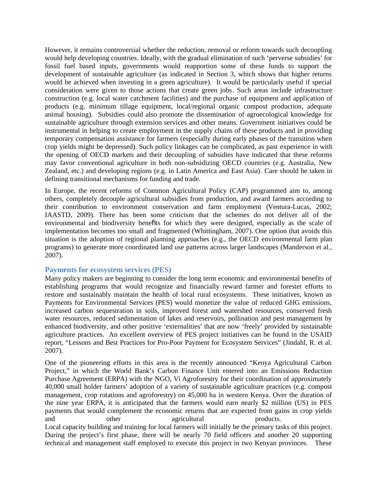However, it remains controversial whether the reduction, removal or reform towards such decoupling would help developing countries. Ideally, with the gradual elimination of such 'perverse subsidies' for fossil fuel based inputs, governments would reapportion some of these funds to support the development of sustainable agriculture (as indicated in Section 3, which shows that higher returns would be achieved when investing in a green agriculture). It would be particularly useful if special consideration were given to those actions that create green jobs. Such areas include infrastructure construction (e.g. local water catchment facilities) and the purchase of equipment and application of products (e.g. minimum tillage equipment, local/regional organic compost production, adequate animal housing). Subsidies could also promote the dissemination of agroecological knowledge for sustainable agriculture through extension services and other means. Government initiatives could be instrumental in helping to create employment in the supply chains of these products and in providing temporary compensation assistance for farmers (especially during early phases of the transition when crop yields might be depressed). Such policy linkages can be complicated, as past experience in with the opening of OECD markets and their decoupling of subsidies have indicated that these reforms may favor conventional agriculture in both non-subsidizing OECD countries (e.g. Australia, New Zealand, etc.) and developing regions (e.g. in Latin America and East Asia). Care should be taken in defining transitional mechanisms for funding and trade.

In Europe, the recent reforms of Common Agricultural Policy (CAP) programmed aim to, among others, completely decouple agricultural subsidies from production, and award farmers according to their contribution to environment conservation and farm employment (Ventura-Lucas, 2002; IAASTD, 2009). There has been some criticism that the schemes do not deliver all of the environmental and biodiversity benefits for which they were designed, especially as the scale of implementation becomes too small and fragmented (Whittingham, 2007). One option that avoids this situation is the adoption of regional planning approaches (e.g., the OECD environmental farm plan programs) to generate more coordinated land use patterns across larger landscapes (Manderson et al., 2007).

#### **Payments for ecosystem services (PES)**

Many policy makers are beginning to consider the long term economic and environmental benefits of establishing programs that would recognize and financially reward farmer and forester efforts to restore and sustainably maintain the health of local rural ecosystems. These initiatives, known as Payments for Environmental Services (PES) would monetize the value of reduced GHG emissions, increased carbon sequestration in soils, improved forest and watershed resources, conserved fresh water resources, reduced sedimentation of lakes and reservoirs, pollination and pest management by enhanced biodiversity, and other positive 'externalities' that are now 'freely' provided by sustainable agriculture practices. An excellent overview of PES project initiatives can be found in the USAID report, "Lessons and Best Practices for Pro-Poor Payment for Ecosystem Services" (Jindahl, R. et al. 2007).

One of the pioneering efforts in this area is the recently announced "Kenya Agricultural Carbon Project," in which the World Bank's Carbon Finance Unit entered into an Emissions Reduction Purchase Agreement (ERPA) with the NGO, Vi Agroforestry for their coordination of approximately 40,000 small holder farmers' adoption of a variety of sustainable agriculture practices (e.g. compost management, crop rotations and agroforestry) on 45,000 ha in western Kenya. Over the duration of the nine year ERPA, it is anticipated that the farmers would earn nearly \$2 million (US) in PES payments that would complement the economic returns that are expected from gains in crop yields and other agricultural products. Local capacity building and training for local farmers will initially be the primary tasks of this project.

During the project's first phase, there will be nearly 70 field officers and another 20 supporting technical and management staff employed to execute this project in two Kenyan provinces. These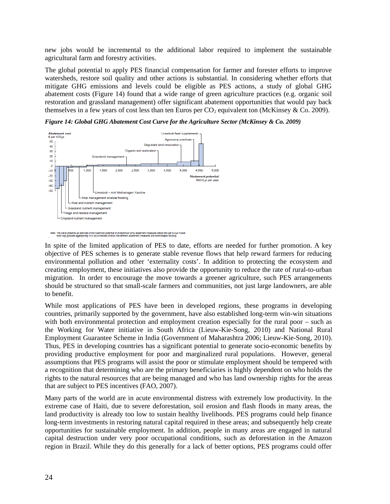new jobs would be incremental to the additional labor required to implement the sustainable agricultural farm and forestry activities.

The global potential to apply PES financial compensation for farmer and forester efforts to improve watersheds, restore soil quality and other actions is substantial. In considering whether efforts that mitigate GHG emissions and levels could be eligible as PES actions, a study of global GHG abatement costs (Figure 14) found that a wide range of green agriculture practices (e.g. organic soil restoration and grassland management) offer significant abatement opportunities that would pay back themselves in a few years of cost less than ten Euros per  $CO<sub>2</sub>$  equivalent ton (McKinsey & Co. 2009).



*Figure 14: Global GHG Abatement Cost Curve for the Agriculture Sector (McKinsey & Co. 2009)*

Note: The curve presents an estimate of the maximum potential of all technical GHG abatement measures below e60 per tCO<sub>D</sub>e if each<br>lever was pursued aggressively. It is not a forecast of what role different abatement meas

In spite of the limited application of PES to date, efforts are needed for further promotion. A key objective of PES schemes is to generate stable revenue flows that help reward farmers for reducing environmental pollution and other 'externality costs'. In addition to protecting the ecosystem and creating employment, these initiatives also provide the opportunity to reduce the rate of rural-to-urban migration. In order to encourage the move towards a greener agriculture, such PES arrangements should be structured so that small-scale farmers and communities, not just large landowners, are able to benefit.

While most applications of PES have been in developed regions, these programs in developing countries, primarily supported by the government, have also established long-term win-win situations with both environmental protection and employment creation especially for the rural poor – such as the Working for Water initiative in South Africa (Lieuw-Kie-Song, 2010) and National Rural Employment Guarantee Scheme in India (Government of Maharashtra 2006; Lieuw-Kie-Song, 2010). Thus, PES in developing countries has a significant potential to generate socio-economic benefits by providing productive employment for poor and marginalized rural populations. However, general assumptions that PES programs will assist the poor or stimulate employment should be tempered with a recognition that determining who are the primary beneficiaries is highly dependent on who holds the rights to the natural resources that are being managed and who has land ownership rights for the areas that are subject to PES incentives (FAO, 2007).

Many parts of the world are in acute environmental distress with extremely low productivity. In the extreme case of Haiti, due to severe deforestation, soil erosion and flash floods in many areas, the land productivity is already too low to sustain healthy livelihoods. PES programs could help finance long-term investments in restoring natural capital required in these areas; and subsequently help create opportunities for sustainable employment. In addition, people in many areas are engaged in natural capital destruction under very poor occupational conditions, such as deforestation in the Amazon region in Brazil. While they do this generally for a lack of better options, PES programs could offer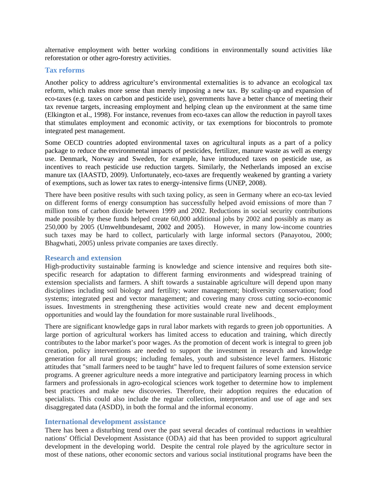alternative employment with better working conditions in environmentally sound activities like reforestation or other agro-forestry activities.

#### **Tax reforms**

Another policy to address agriculture's environmental externalities is to advance an ecological tax reform, which makes more sense than merely imposing a new tax. By scaling-up and expansion of eco-taxes (e.g. taxes on carbon and pesticide use), governments have a better chance of meeting their tax revenue targets, increasing employment and helping clean up the environment at the same time (Elkington et al., 1998). For instance, revenues from eco-taxes can allow the reduction in payroll taxes that stimulates employment and economic activity, or tax exemptions for biocontrols to promote integrated pest management.

Some OECD countries adopted environmental taxes on agricultural inputs as a part of a policy package to reduce the environmental impacts of pesticides, fertilizer, manure waste as well as energy use. Denmark, Norway and Sweden, for example, have introduced taxes on pesticide use, as incentives to reach pesticide use reduction targets. Similarly, the Netherlands imposed an excise manure tax (IAASTD, 2009). Unfortunately, eco-taxes are frequently weakened by granting a variety of exemptions, such as lower tax rates to energy-intensive firms (UNEP, 2008).

There have been positive results with such taxing policy, as seen in Germany where an eco-tax levied on different forms of energy consumption has successfully helped avoid emissions of more than 7 million tons of carbon dioxide between 1999 and 2002. Reductions in social security contributions made possible by these funds helped create 60,000 additional jobs by 2002 and possibly as many as 250,000 by 2005 (Umweltbundesamt, 2002 and 2005). However, in many low-income countries such taxes may be hard to collect, particularly with large informal sectors (Panayotou, 2000; Bhagwhati, 2005) unless private companies are taxes directly.

#### **Research and extension**

High-productivity sustainable farming is knowledge and science intensive and requires both sitespecific research for adaptation to different farming environments and widespread training of extension specialists and farmers. A shift towards a sustainable agriculture will depend upon many disciplines including soil biology and fertility; water management; biodiversity conservation; food systems; integrated pest and vector management; and covering many cross cutting socio-economic issues. Investments in strengthening these activities would create new and decent employment opportunities and would lay the foundation for more sustainable rural livelihoods.

There are significant knowledge gaps in rural labor markets with regards to green job opportunities. A large portion of agricultural workers has limited access to education and training, which directly contributes to the labor market's poor wages. As the promotion of decent work is integral to green job creation, policy interventions are needed to support the investment in research and knowledge generation for all rural groups; including females, youth and subsistence level farmers. Historic attitudes that "small farmers need to be taught" have led to frequent failures of some extension service programs. A greener agriculture needs a more integrative and participatory learning process in which farmers and professionals in agro-ecological sciences work together to determine how to implement best practices and make new discoveries. Therefore, their adoption requires the education of specialists. This could also include the regular collection, interpretation and use of age and sex disaggregated data (ASDD), in both the formal and the informal economy.

#### **International development assistance**

There has been a disturbing trend over the past several decades of continual reductions in wealthier nations' Official Development Assistance (ODA) aid that has been provided to support agricultural development in the developing world. Despite the central role played by the agriculture sector in most of these nations, other economic sectors and various social institutional programs have been the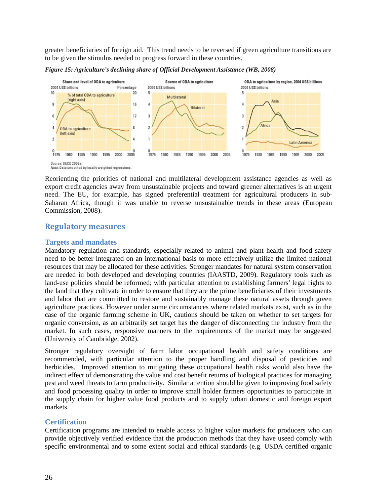greater beneficiaries of foreign aid. This trend needs to be reversed if green agriculture transitions are to be given the stimulus needed to progress forward in these countries.



*Figure 15: Agriculture's declining share of Official Development Assistance (WB, 2008)*

Reorienting the priorities of national and multilateral development assistance agencies as well as export credit agencies away from unsustainable projects and toward greener alternatives is an urgent need. The EU, for example, has signed preferential treatment for agricultural producers in sub-Saharan Africa, though it was unable to reverse unsustainable trends in these areas (European Commission, 2008).

# **Regulatory measures**

#### **Targets and mandates**

Mandatory regulation and standards, especially related to animal and plant health and food safety need to be better integrated on an international basis to more effectively utilize the limited national resources that may be allocated for these activities. Stronger mandates for natural system conservation are needed in both developed and developing countries (IAASTD, 2009). Regulatory tools such as land-use policies should be reformed; with particular attention to establishing farmers' legal rights to the land that they cultivate in order to ensure that they are the prime beneficiaries of their investments and labor that are committed to restore and sustainably manage these natural assets through green agriculture practices. However under some circumstances where related markets exist, such as in the case of the organic farming scheme in UK, cautions should be taken on whether to set targets for organic conversion, as an arbitrarily set target has the danger of disconnecting the industry from the market. In such cases, responsive manners to the requirements of the market may be suggested (University of Cambridge, 2002).

Stronger regulatory oversight of farm labor occupational health and safety conditions are recommended, with particular attention to the proper handling and disposal of pesticides and herbicides. Improved attention to mitigating these occupational health risks would also have the indirect effect of demonstrating the value and cost benefit returns of biological practices for managing pest and weed threats to farm productivity. Similar attention should be given to improving food safety and food processing quality in order to improve small holder farmers opportunities to participate in the supply chain for higher value food products and to supply urban domestic and foreign export markets.

## **Certification**

Certification programs are intended to enable access to higher value markets for producers who can provide objectively verified evidence that the production methods that they have useed comply with specific environmental and to some extent social and ethical standards (e.g. USDA certified organic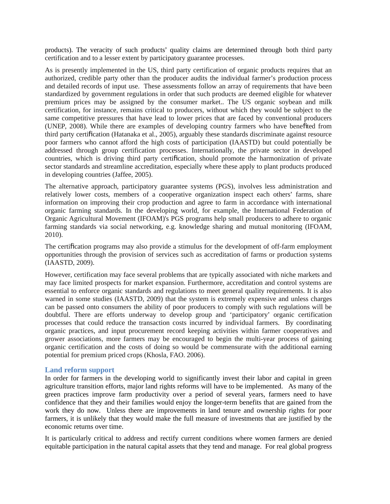products). The veracity of such products' quality claims are determined through both third party certification and to a lesser extent by participatory guarantee processes.

As is presently implemented in the US, third party certification of organic products requires that an authorized, credible party other than the producer audits the individual farmer's production process and detailed records of input use. These assessments follow an array of requirements that have been standardized by government regulations in order that such products are deemed eligible for whatever premium prices may be assigned by the consumer market.. The US organic soybean and milk certification, for instance, remains critical to producers, without which they would be subject to the same competitive pressures that have lead to lower prices that are faced by conventional producers (UNEP, 2008). While there are examples of developing country farmers who have benefited from third party certification (Hatanaka et al., 2005), arguably these standards discriminate against resource poor farmers who cannot afford the high costs of participation (IAASTD) but could potentially be addressed through group certification processes. Internationally, the private sector in developed countries, which is driving third party certification, should promote the harmonization of private sector standards and streamline accreditation, especially where these apply to plant products produced in developing countries (Jaffee, 2005).

The alternative approach, participatory guarantee systems (PGS), involves less administration and relatively lower costs, members of a cooperative organization inspect each others' farms, share information on improving their crop production and agree to farm in accordance with international organic farming standards. In the developing world, for example, the International Federation of Organic Agricultural Movement (IFOAM)'s PGS programs help small producers to adhere to organic farming standards via social networking, e.g. knowledge sharing and mutual monitoring (IFOAM, 2010).

The certification programs may also provide a stimulus for the development of off-farm employment opportunities through the provision of services such as accreditation of farms or production systems (IAASTD, 2009).

However, certification may face several problems that are typically associated with niche markets and may face limited prospects for market expansion. Furthermore, accreditation and control systems are essential to enforce organic standards and regulations to meet general quality requirements. It is also warned in some studies (IAASTD, 2009) that the system is extremely expensive and unless charges can be passed onto consumers the ability of poor producers to comply with such regulations will be doubtful. There are efforts underway to develop group and 'participatory' organic certification processes that could reduce the transaction costs incurred by individual farmers. By coordinating organic practices, and input procurement record keeping activities within farmer cooperatives and grower associations, more farmers may be encouraged to begin the multi-year process of gaining organic certification and the costs of doing so would be commensurate with the additional earning potential for premium priced crops (Khosla, FAO. 2006).

#### **Land reform support**

In order for farmers in the developing world to significantly invest their labor and capital in green agriculture transition efforts, major land rights reforms will have to be implemented. As many of the green practices improve farm productivity over a period of several years, farmers need to have confidence that they and their families would enjoy the longer-term benefits that are gained from the work they do now. Unless there are improvements in land tenure and ownership rights for poor farmers, it is unlikely that they would make the full measure of investments that are justified by the economic returns over time.

It is particularly critical to address and rectify current conditions where women farmers are denied equitable participation in the natural capital assets that they tend and manage. For real global progress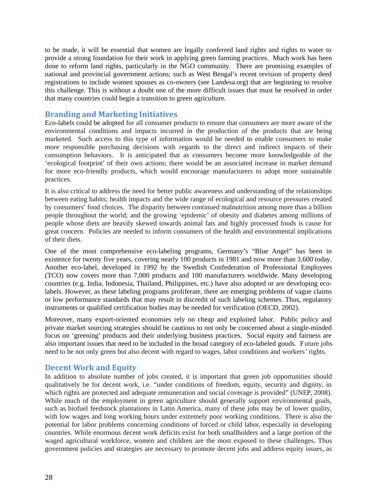to be made, it will be essential that women are legally conferred land rights and rights to water to provide a strong foundation for their work in applying green farming practices. Much work has been done to reform land rights, particularly in the NGO community. There are promising examples of national and provincial government actions; such as West Bengal's recent revision of property deed registrations to include women spouses as co-owners (see Landesa.org) that are beginning to resolve this challenge. This is without a doubt one of the more difficult issues that must be resolved in order that many countries could begin a transition to green agriculture.

# **Branding and Marketing Initiatives**

Eco-labels could be adopted for all consumer products to ensure that consumers are more aware of the environmental conditions and impacts incurred in the production of the products that are being marketed. Such access to this type of information would be needed to enable consumers to make more responsible purchasing decisions with regards to the direct and indirect impacts of their consumption behaviors. It is anticipated that as consumers become more knowledgeable of the 'ecological footprint' of their own actions; there would be an associated increase in market demand for more eco-friendly products, which would encourage manufacturers to adopt more sustainable practices.

It is also critical to address the need for better public awareness and understanding of the relationships between eating habits; health impacts and the wide range of ecological and resource pressures created by consumers' food choices. The disparity between continued malnutrition among more than a billion people throughout the world; and the growing 'epidemic' of obesity and diabetes among millions of people whose diets are heavily skewed towards animal fats and highly processed foods is cause for great concern. Policies are needed to inform consumers of the health and environmental implications of their diets.

One of the most comprehensive eco-labeling programs, Germany's "Blue Angel" has been in existence for twenty five years, covering nearly 100 products in 1981 and now more than 3,600 today. Another eco-label, developed in 1992 by the Swedish Confederation of Professional Employees (TCO) now covers more than 7,000 products and 100 manufacturers worldwide. Many developing countries (e.g. India, Indonesia, Thailand, Philippines, etc.) have also adopted or are developing ecolabels. However, as these labeling programs proliferate, there are emerging problems of vague claims or low performance standards that may result in discredit of such labeling schemes. Thus, regulatory instruments or qualified certification bodies may be needed for verification (OECD, 2002).

Moreover, many export-oriented economies rely on cheap and exploited labor. Public policy and private market sourcing strategies should be cautious to not only be concerned about a single-minded focus on 'greening' products and their underlying business practices. Social equity and fairness are also important issues that need to be included in the broad category of eco-labeled goods. Future jobs need to be not only green but also decent with regard to wages, labor conditions and workers' rights.

# **Decent Work and Equity**

In addition to absolute number of jobs created, it is important that green job opportunities should qualitatively be for decent work, i.e. "under conditions of freedom, equity, security and dignity, in which rights are protected and adequate remuneration and social coverage is provided" (UNEP, 2008). While much of the employment in green agriculture should generally support environmental goals, such as biofuel feedstock plantations in Latin America, many of these jobs may be of lower quality, with low wages and long working hours under extremely poor working conditions. There is also the potential for labor problems concerning conditions of forced or child labor, especially in developing countries. While enormous decent work deficits exist for both smallholders and a large portion of the waged agricultural workforce, women and children are the most exposed to these challenges. Thus government policies and strategies are necessary to promote decent jobs and address equity issues, as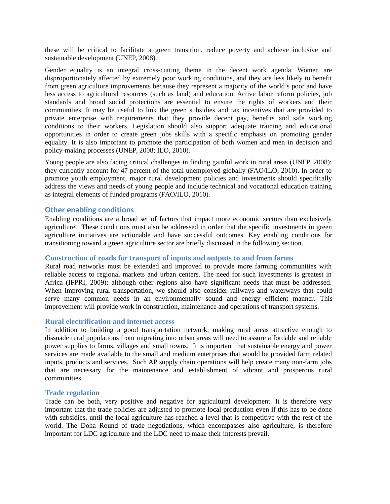these will be critical to facilitate a green transition, reduce poverty and achieve inclusive and sustainable development (UNEP, 2008).

Gender equality is an integral cross-cutting theme in the decent work agenda. Women are disproportionately affected by extremely poor working conditions, and they are less likely to benefit from green agriculture improvements because they represent a majority of the world's poor and have less access to agricultural resources (such as land) and education. Active labor reform policies, job standards and broad social protections are essential to ensure the rights of workers and their communities. It may be useful to link the green subsidies and tax incentives that are provided to private enterprise with requirements that they provide decent pay, benefits and safe working conditions to their workers. Legislation should also support adequate training and educational opportunities in order to create green jobs skills with a specific emphasis on promoting gender equality. It is also important to promote the participation of both women and men in decision and policy-making processes (UNEP, 2008; ILO, 2010).

Young people are also facing critical challenges in finding gainful work in rural areas (UNEP, 2008); they currently account for 47 percent of the total unemployed globally (FAO/ILO, 2010). In order to promote youth employment, major rural development policies and investments should specifically address the views and needs of young people and include technical and vocational education training as integral elements of funded programs (FAO/ILO, 2010).

## **Other enabling conditions**

Enabling conditions are a broad set of factors that impact more economic sectors than exclusively agriculture. These conditions must also be addressed in order that the specific investments in green agriculture initiatives are actionable and have successful outcomes. Key enabling conditions for transitioning toward a green agriculture sector are briefly discussed in the following section.

# **Construction of roads for transport of inputs and outputs to and from farms**

Rural road networks must be extended and improved to provide more farming communities with reliable access to regional markets and urban centers. The need for such investments is greatest in Africa (IFPRI, 2009); although other regions also have significant needs that must be addressed. When improving rural transportation, we should also consider railways and waterways that could serve many common needs in an environmentally sound and energy efficient manner. This improvement will provide work in construction, maintenance and operations of transport systems.

#### **Rural electrification and internet access**

In addition to building a good transportation network; making rural areas attractive enough to dissuade rural populations from migrating into urban areas will need to assure affordable and reliable power supplies to farms, villages and small towns. It is important that sustainable energy and power services are made available to the small and medium enterprises that would be provided farm related inputs, products and services. Such AP supply chain operations will help create many non-farm jobs that are necessary for the maintenance and establishment of vibrant and prosperous rural communities.

#### **Trade regulation**

Trade can be both, very positive and negative for agricultural development. It is therefore very important that the trade policies are adjusted to promote local production even if this has to be done with subsidies, until the local agriculture has reached a level that is competitive with the rest of the world. The Doha Round of trade negotiations, which encompasses also agriculture, is therefore important for LDC agriculture and the LDC need to make their interests prevail.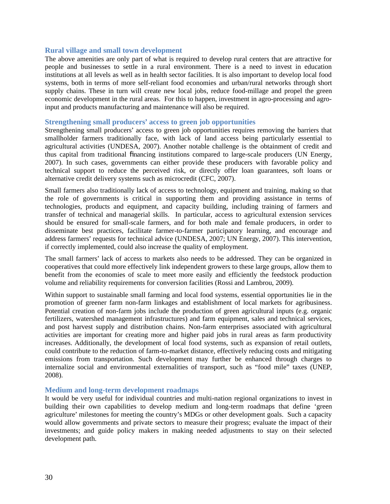#### **Rural village and small town development**

The above amenities are only part of what is required to develop rural centers that are attractive for people and businesses to settle in a rural environment. There is a need to invest in education institutions at all levels as well as in health sector facilities. It is also important to develop local food systems, both in terms of more self-reliant food economies and urban/rural networks through short supply chains. These in turn will create new local jobs, reduce food-millage and propel the green economic development in the rural areas. For this to happen, investment in agro-processing and agroinput and products manufacturing and maintenance will also be required.

#### **Strengthening small producers' access to green job opportunities**

Strengthening small producers' access to green job opportunities requires removing the barriers that smallholder farmers traditionally face, with lack of land access being particularly essential to agricultural activities (UNDESA, 2007). Another notable challenge is the obtainment of credit and thus capital from traditional financing institutions compared to large-scale producers (UN Energy, 2007). In such cases, governments can either provide these producers with favorable policy and technical support to reduce the perceived risk, or directly offer loan guarantees, soft loans or alternative credit delivery systems such as microcredit (CFC, 2007).

Small farmers also traditionally lack of access to technology, equipment and training, making so that the role of governments is critical in supporting them and providing assistance in terms of technologies, products and equipment, and capacity building, including training of farmers and transfer of technical and managerial skills. In particular, access to agricultural extension services should be ensured for small-scale farmers, and for both male and female producers, in order to disseminate best practices, facilitate farmer-to-farmer participatory learning, and encourage and address farmers' requests for technical advice (UNDESA, 2007; UN Energy, 2007). This intervention, if correctly implemented, could also increase the quality of employment.

The small farmers' lack of access to markets also needs to be addressed. They can be organized in cooperatives that could more effectively link independent growers to these large groups, allow them to benefit from the economies of scale to meet more easily and efficiently the feedstock production volume and reliability requirements for conversion facilities (Rossi and Lambrou, 2009).

Within support to sustainable small farming and local food systems, essential opportunities lie in the promotion of greener farm non-farm linkages and establishment of local markets for agribusiness. Potential creation of non-farm jobs include the production of green agricultural inputs (e.g. organic fertilizers, watershed management infrastructures) and farm equipment, sales and technical services, and post harvest supply and distribution chains. Non-farm enterprises associated with agricultural activities are important for creating more and higher paid jobs in rural areas as farm productivity increases. Additionally, the development of local food systems, such as expansion of retail outlets, could contribute to the reduction of farm-to-market distance, effectively reducing costs and mitigating emissions from transportation. Such development may further be enhanced through charges to internalize social and environmental externalities of transport, such as "food mile" taxes (UNEP, 2008).

#### **Medium and long-term development roadmaps**

It would be very useful for individual countries and multi-nation regional organizations to invest in building their own capabilities to develop medium and long-term roadmaps that define 'green agriculture' milestones for meeting the country's MDGs or other development goals. Such a capacity would allow governments and private sectors to measure their progress; evaluate the impact of their investments; and guide policy makers in making needed adjustments to stay on their selected development path.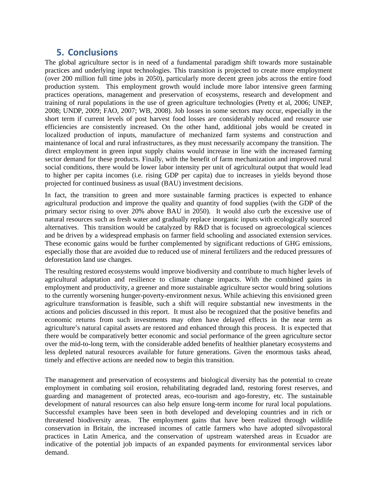# **5. Conclusions**

The global agriculture sector is in need of a fundamental paradigm shift towards more sustainable practices and underlying input technologies. This transition is projected to create more employment (over 200 million full time jobs in 2050), particularly more decent green jobs across the entire food production system. This employment growth would include more labor intensive green farming practices operations, management and preservation of ecosystems, research and development and training of rural populations in the use of green agriculture technologies (Pretty et al, 2006; UNEP, 2008; UNDP, 2009; FAO, 2007; WB, 2008). Job losses in some sectors may occur, especially in the short term if current levels of post harvest food losses are considerably reduced and resource use efficiencies are consistently increased. On the other hand, additional jobs would be created in localized production of inputs, manufacture of mechanized farm systems and construction and maintenance of local and rural infrastructures, as they must necessarily accompany the transition. The direct employment in green input supply chains would increase in line with the increased farming sector demand for these products. Finally, with the benefit of farm mechanization and improved rural social conditions, there would be lower labor intensity per unit of agricultural output that would lead to higher per capita incomes (i.e. rising GDP per capita) due to increases in yields beyond those projected for continued business as usual (BAU) investment decisions.

In fact, the transition to green and more sustainable farming practices is expected to enhance agricultural production and improve the quality and quantity of food supplies (with the GDP of the primary sector rising to over 20% above BAU in 2050). It would also curb the excessive use of natural resources such as fresh water and gradually replace inorganic inputs with ecologically sourced alternatives. This transition would be catalyzed by R&D that is focused on agroecological sciences and be driven by a widespread emphasis on farmer field schooling and associated extension services. These economic gains would be further complemented by significant reductions of GHG emissions, especially those that are avoided due to reduced use of mineral fertilizers and the reduced pressures of deforestation land use changes.

The resulting restored ecosystems would improve biodiversity and contribute to much higher levels of agricultural adaptation and resilience to climate change impacts. With the combined gains in employment and productivity, a greener and more sustainable agriculture sector would bring solutions to the currently worsening hunger-poverty-environment nexus. While achieving this envisioned green agriculture transformation is feasible, such a shift will require substantial new investments in the actions and policies discussed in this report. It must also be recognized that the positive benefits and economic returns from such investments may often have delayed effects in the near term as agriculture's natural capital assets are restored and enhanced through this process. It is expected that there would be comparatively better economic and social performance of the green agriculture sector over the mid-to-long term, with the considerable added benefits of healthier planetary ecosystems and less depleted natural resources available for future generations. Given the enormous tasks ahead, timely and effective actions are needed now to begin this transition.

The management and preservation of ecosystems and biological diversity has the potential to create employment in combating soil erosion, rehabilitating degraded land, restoring forest reserves, and guarding and management of protected areas, eco-tourism and ago-forestry, etc. The sustainable development of natural resources can also help ensure long-term income for rural local populations. Successful examples have been seen in both developed and developing countries and in rich or threatened biodiversity areas. The employment gains that have been realized through wildlife conservation in Britain, the increased incomes of cattle farmers who have adopted silvopastoral practices in Latin America, and the conservation of upstream watershed areas in Ecuador are indicative of the potential job impacts of an expanded payments for environmental services labor demand.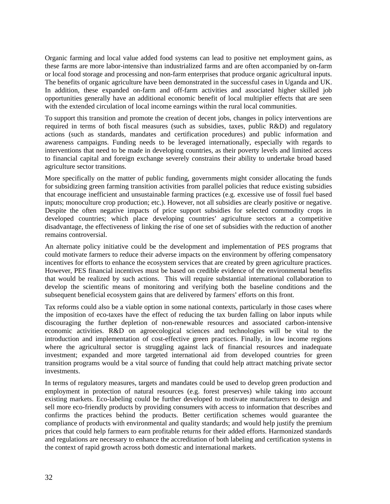Organic farming and local value added food systems can lead to positive net employment gains, as these farms are more labor-intensive than industrialized farms and are often accompanied by on-farm or local food storage and processing and non-farm enterprises that produce organic agricultural inputs. The benefits of organic agriculture have been demonstrated in the successful cases in Uganda and UK. In addition, these expanded on-farm and off-farm activities and associated higher skilled job opportunities generally have an additional economic benefit of local multiplier effects that are seen with the extended circulation of local income earnings within the rural local communities.

To support this transition and promote the creation of decent jobs, changes in policy interventions are required in terms of both fiscal measures (such as subsidies, taxes, public R&D) and regulatory actions (such as standards, mandates and certification procedures) and public information and awareness campaigns. Funding needs to be leveraged internationally, especially with regards to interventions that need to be made in developing countries, as their poverty levels and limited access to financial capital and foreign exchange severely constrains their ability to undertake broad based agriculture sector transitions.

More specifically on the matter of public funding, governments might consider allocating the funds for subsidizing green farming transition activities from parallel policies that reduce existing subsidies that encourage inefficient and unsustainable farming practices (e.g. excessive use of fossil fuel based inputs; monoculture crop production; etc.). However, not all subsidies are clearly positive or negative. Despite the often negative impacts of price support subsidies for selected commodity crops in developed countries; which place developing countries' agriculture sectors at a competitive disadvantage, the effectiveness of linking the rise of one set of subsidies with the reduction of another remains controversial.

An alternate policy initiative could be the development and implementation of PES programs that could motivate farmers to reduce their adverse impacts on the environment by offering compensatory incentives for efforts to enhance the ecosystem services that are created by green agriculture practices. However, PES financial incentives must be based on credible evidence of the environmental benefits that would be realized by such actions. This will require substantial international collaboration to develop the scientific means of monitoring and verifying both the baseline conditions and the subsequent beneficial ecosystem gains that are delivered by farmers' efforts on this front.

Tax reforms could also be a viable option in some national contexts, particularly in those cases where the imposition of eco-taxes have the effect of reducing the tax burden falling on labor inputs while discouraging the further depletion of non-renewable resources and associated carbon-intensive economic activities. R&D on agroecological sciences and technologies will be vital to the introduction and implementation of cost-effective green practices. Finally, in low income regions where the agricultural sector is struggling against lack of financial resources and inadequate investment; expanded and more targeted international aid from developed countries for green transition programs would be a vital source of funding that could help attract matching private sector investments.

In terms of regulatory measures, targets and mandates could be used to develop green production and employment in protection of natural resources (e.g. forest preserves) while taking into account existing markets. Eco-labeling could be further developed to motivate manufacturers to design and sell more eco-friendly products by providing consumers with access to information that describes and confirms the practices behind the products. Better certification schemes would guarantee the compliance of products with environmental and quality standards; and would help justify the premium prices that could help farmers to earn profitable returns for their added efforts. Harmonized standards and regulations are necessary to enhance the accreditation of both labeling and certification systems in the context of rapid growth across both domestic and international markets.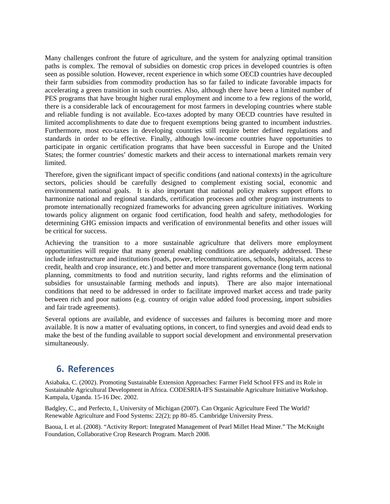Many challenges confront the future of agriculture, and the system for analyzing optimal transition paths is complex. The removal of subsidies on domestic crop prices in developed countries is often seen as possible solution. However, recent experience in which some OECD countries have decoupled their farm subsidies from commodity production has so far failed to indicate favorable impacts for accelerating a green transition in such countries. Also, although there have been a limited number of PES programs that have brought higher rural employment and income to a few regions of the world, there is a considerable lack of encouragement for most farmers in developing countries where stable and reliable funding is not available. Eco-taxes adopted by many OECD countries have resulted in limited accomplishments to date due to frequent exemptions being granted to incumbent industries. Furthermore, most eco-taxes in developing countries still require better defined regulations and standards in order to be effective. Finally, although low-income countries have opportunities to participate in organic certification programs that have been successful in Europe and the United States; the former countries' domestic markets and their access to international markets remain very limited.

Therefore, given the significant impact of specific conditions (and national contexts) in the agriculture sectors, policies should be carefully designed to complement existing social, economic and environmental national goals. It is also important that national policy makers support efforts to harmonize national and regional standards, certification processes and other program instruments to promote internationally recognized frameworks for advancing green agriculture initiatives. Working towards policy alignment on organic food certification, food health and safety, methodologies for determining GHG emission impacts and verification of environmental benefits and other issues will be critical for success.

Achieving the transition to a more sustainable agriculture that delivers more employment opportunities will require that many general enabling conditions are adequately addressed. These include infrastructure and institutions (roads, power, telecommunications, schools, hospitals, access to credit, health and crop insurance, etc.) and better and more transparent governance (long term national planning, commitments to food and nutrition security, land rights reforms and the elimination of subsidies for unsustainable farming methods and inputs). There are also major international conditions that need to be addressed in order to facilitate improved market access and trade parity between rich and poor nations (e.g. country of origin value added food processing, import subsidies and fair trade agreements).

Several options are available, and evidence of successes and failures is becoming more and more available. It is now a matter of evaluating options, in concert, to find synergies and avoid dead ends to make the best of the funding available to support social development and environmental preservation simultaneously.

# **6. References**

Asiabaka, C. (2002). Promoting Sustainable Extension Approaches: Farmer Field School FFS and its Role in Sustainable Agricultural Development in Africa. CODESRIA-IFS Sustainable Agriculture Initiative Workshop. Kampala, Uganda. 15-16 Dec. 2002.

Badgley, C., and Perfecto, I., University of Michigan (2007). Can Organic Agriculture Feed The World? Renewable Agriculture and Food Systems: 22(2); pp 80–85. Cambridge University Press.

Baoua, I. et al. (2008). "Activity Report: Integrated Management of Pearl Millet Head Miner." The McKnight Foundation, Collaborative Crop Research Program. March 2008.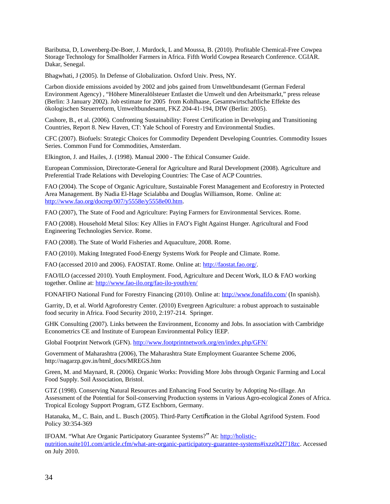Baributsa, D, Lowenberg-De-Boer, J. Murdock, L and Moussa, B. (2010). Profitable Chemical-Free Cowpea Storage Technology for Smallholder Farmers in Africa. Fifth World Cowpea Research Conference. CGIAR. Dakar, Senegal.

Bhagwhati, J (2005). In Defense of Globalization. Oxford Univ. Press, NY.

Carbon dioxide emissions avoided by 2002 and jobs gained from Umweltbundesamt (German Federal Environment Agency) , "Höhere Mineralölsteuer Entlastet die Umwelt und den Arbeitsmarkt," press release (Berlin: 3 January 2002). Job estimate for 2005 from Kohlhaase, Gesamtwirtschaftliche Effekte des ökologischen Steuerreform, Umweltbundesamt, FKZ 204-41-194, DIW (Berlin: 2005).

Cashore, B., et al. (2006). Confronting Sustainability: Forest Certification in Developing and Transitioning Countries, Report 8. New Haven, CT: Yale School of Forestry and Environmental Studies.

CFC (2007). Biofuels: Strategic Choices for Commodity Dependent Developing Countries. Commodity Issues Series. Common Fund for Commodities, Amsterdam.

Elkington, J. and Hailes, J. (1998). Manual 2000 - The Ethical Consumer Guide.

European Commission, Directorate-General for Agriculture and Rural Development (2008). Agriculture and Preferential Trade Relations with Developing Countries: The Case of ACP Countries.

FAO (2004). The Scope of Organic Agriculture, Sustainable Forest Management and Ecoforestry in Protected Area Management. By Nadia El-Hage Scialabba and Douglas Williamson, Rome. Online at: [http://www.fao.org/docrep/007/y5558e/y5558e00.htm.](http://www.fao.org/docrep/007/y5558e/y5558e00.htm)

FAO (2007), The State of Food and Agriculture: Paying Farmers for Environmental Services. Rome.

FAO (2008). Household Metal Silos: Key Allies in FAO's Fight Against Hunger. Agricultural and Food Engineering Technologies Service. Rome.

FAO (2008). The State of World Fisheries and Aquaculture, 2008. Rome.

FAO (2010). Making Integrated Food-Energy Systems Work for People and Climate. Rome.

FAO (accessed 2010 and 2006). FAOSTAT. Rome. Online at: [http://faostat.fao.org/.](http://faostat.fao.org/)

FAO/ILO (accessed 2010). Youth Employment. Food, Agriculture and Decent Work, ILO & FAO working together. Online at:<http://www.fao-ilo.org/fao-ilo-youth/en/>

FONAFIFO National Fund for Forestry Financing (2010). Online at:<http://www.fonafifo.com/>(In spanish).

Garrity, D, et al. World Agroforestry Center. (2010) Evergreen Agriculture: a robust approach to sustainable food security in Africa. Food Security 2010, 2:197-214. Springer.

GHK Consulting (2007). Links between the Environment, Economy and Jobs. In association with Cambridge Econometrics CE and Institute of European Environmental Policy IEEP.

Global Footprint Network (GFN).<http://www.footprintnetwork.org/en/index.php/GFN/>

Government of Maharashtra (2006), The Maharashtra State Employment Guarantee Scheme 2006, http://nagarzp.gov.in/html\_docs/MREGS.htm

Green, M. and Maynard, R. (2006). Organic Works: Providing More Jobs through Organic Farming and Local Food Supply. Soil Association, Bristol.

GTZ (1998). Conserving Natural Resources and Enhancing Food Security by Adopting No-tillage. An Assessment of the Potential for Soil-conserving Production systems in Various Agro-ecological Zones of Africa. Tropical Ecology Support Program, GTZ Eschborn, Germany.

Hatanaka, M., C. Bain, and L. Busch (2005). Third-Party Certification in the Global Agrifood System. Food Policy 30:354-369

<span id="page-33-0"></span>IFOAM. "What Are Organic Participatory Guarantee Systems?" At: [http://holistic](#page-33-0)[nutrition.suite101.com/article.cfm/what-are-organic-participatory-guarantee-systems#ixzz0t2f718zc.](#page-33-0) Accessed on July 2010.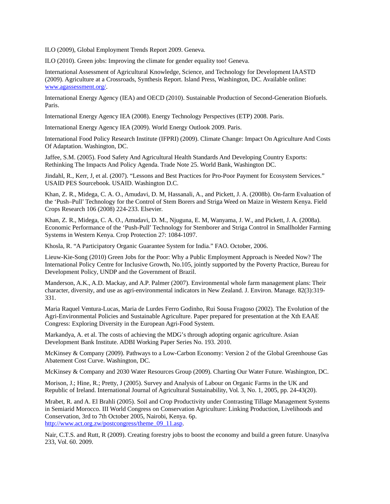ILO (2009), Global Employment Trends Report 2009. Geneva.

ILO (2010). Green jobs: Improving the climate for gender equality too! Geneva.

International Assessment of Agricultural Knowledge, Science, and Technology for Development IAASTD (2009). Agriculture at a Crossroads, Synthesis Report. Island Press, Washington, DC. Available online: [www.agassessment.org/.](http://www.agassessment.org/)

International Energy Agency (IEA) and OECD (2010). Sustainable Production of Second-Generation Biofuels. Paris.

International Energy Agency IEA (2008). Energy Technology Perspectives (ETP) 2008. Paris.

International Energy Agency IEA (2009). World Energy Outlook 2009. Paris.

International Food Policy Research Institute (IFPRI) (2009). Climate Change: Impact On Agriculture And Costs Of Adaptation. Washington, DC.

Jaffee, S.M. (2005). Food Safety And Agricultural Health Standards And Developing Country Exports: Rethinking The Impacts And Policy Agenda. Trade Note 25. World Bank, Washington DC.

Jindahl, R., Kerr, J, et al. (2007). "Lessons and Best Practices for Pro-Poor Payment for Ecosystem Services." USAID PES Sourcebook. USAID. Washington D.C.

Khan, Z. R., Midega, C. A. O., Amudavi, D. M, Hassanali, A., and Pickett, J. A. (2008b). On-farm Evaluation of the 'Push–Pull' Technology for the Control of Stem Borers and Striga Weed on Maize in Western Kenya. Field Crops Research 106 (2008) 224-233. Elsevier.

Khan, Z. R., Midega, C. A. O., Amudavi, D. M., Njuguna, E. M, Wanyama, J. W., and Pickett, J. A. (2008a). Economic Performance of the 'Push-Pull' Technology for Stemborer and Striga Control in Smallholder Farming Systems in Western Kenya. Crop Protection 27: 1084-1097.

Khosla, R. "A Participatory Organic Guarantee System for India." FAO. October, 2006.

Lieuw-Kie-Song (2010) Green Jobs for the Poor: Why a Public Employment Approach is Needed Now? The International Policy Centre for Inclusive Growth, No.105, jointly supported by the Poverty Practice, Bureau for Development Policy, UNDP and the Government of Brazil.

Manderson, A.K., A.D. Mackay, and A.P. Palmer (2007). Environmental whole farm management plans: Their character, diversity, and use as agri-environmental indicators in New Zealand. J. Environ. Manage. 82(3):319- 331.

Maria Raquel Ventura-Lucas, Maria de Lurdes Ferro Godinho, Rui Sousa Fragoso (2002). The Evolution of the Agri-Environmental Policies and Sustainable Agriculture. Paper prepared for presentation at the Xth EAAE Congress: Exploring Diversity in the European Agri-Food System.

Markandya, A. et al. The costs of achieving the MDG's through adopting organic agriculture. Asian Development Bank Institute. ADBI Working Paper Series No. 193. 2010.

McKinsey & Company (2009). Pathways to a Low-Carbon Economy: Version 2 of the Global Greenhouse Gas Abatement Cost Curve. Washington, DC.

McKinsey & Company and 2030 Water Resources Group (2009). Charting Our Water Future. Washington, DC.

Morison, J.; Hine, R.; Pretty, J (2005). Survey and Analysis of Labour on Organic Farms in the UK and Republic of Ireland. International Journal of Agricultural Sustainability, Vol. 3, No. 1, 2005, pp. 24-43(20).

Mrabet, R. and A. El Brahli (2005). Soil and Crop Productivity under Contrasting Tillage Management Systems in Semiarid Morocco. III World Congress on Conservation Agriculture: Linking Production, Livelihoods and Conservation, 3rd to 7th October 2005, Nairobi, Kenya. 6p. [http://www.act.org.zw/postcongress/theme\\_09\\_11.asp.](http://www.act.org.zw/postcongress/theme_09_11.asp)

Nair, C.T.S. and Rutt, R (2009). Creating forestry jobs to boost the economy and build a green future. Unasylva 233, Vol. 60. 2009.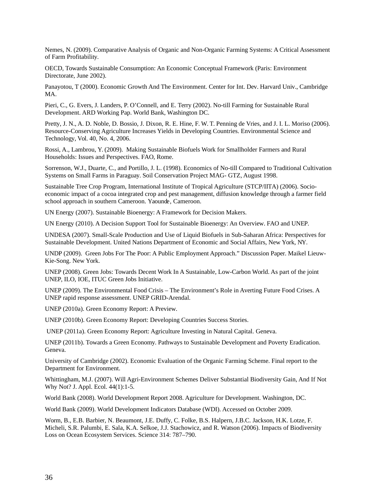Nemes, N. (2009). Comparative Analysis of Organic and Non-Organic Farming Systems: A Critical Assessment of Farm Profitability.

OECD, Towards Sustainable Consumption: An Economic Conceptual Framework (Paris: Environment Directorate, June 2002).

Panayotou, T (2000). Economic Growth And The Environment. Center for Int. Dev. Harvard Univ., Cambridge MA.

Pieri, C., G. Evers, J. Landers, P. O'Connell, and E. Terry (2002). No-till Farming for Sustainable Rural Development. ARD Working Pap. World Bank, Washington DC.

Pretty, J. N., A. D. Noble, D. Bossio, J. Dixon, R. E. Hine, F. W. T. Penning de Vries, and J. I. L. Moriso (2006). Resource-Conserving Agriculture Increases Yields in Developing Countries. Environmental Science and Technology, Vol. 40, No. 4, 2006.

Rossi, A., Lambrou, Y. (2009). Making Sustainable Biofuels Work for Smallholder Farmers and Rural Households: Issues and Perspectives. FAO, Rome.

Sorrenson, W.J., Duarte, C., and Portillo, J. L. (1998). Economics of No-till Compared to Traditional Cultivation Systems on Small Farms in Paraguay. Soil Conservation Project MAG- GTZ, August 1998.

Sustainable Tree Crop Program, International Institute of Tropical Agriculture (STCP/IITA) (2006). Socioeconomic impact of a cocoa integrated crop and pest management, diffusion knowledge through a farmer field school approach in southern Cameroon. Yaounde, Cameroon.

UN Energy (2007). Sustainable Bioenergy: A Framework for Decision Makers.

UN Energy (2010). A Decision Support Tool for Sustainable Bioenergy: An Overview. FAO and UNEP.

UNDESA (2007). Small-Scale Production and Use of Liquid Biofuels in Sub-Saharan Africa: Perspectives for Sustainable Development. United Nations Department of Economic and Social Affairs, New York, NY.

UNDP (2009). Green Jobs For The Poor: A Public Employment Approach." Discussion Paper. Maikel Lieuw-Kie-Song. New York.

UNEP (2008). Green Jobs: Towards Decent Work In A Sustainable, Low-Carbon World. As part of the joint UNEP, ILO, IOE, ITUC Green Jobs Initiative.

UNEP (2009). The Environmental Food Crisis – The Environment's Role in Averting Future Food Crises. A UNEP rapid response assessment. UNEP GRID-Arendal.

UNEP (2010a). Green Economy Report: A Preview.

UNEP (2010b). Green Economy Report: Developing Countries Success Stories.

UNEP (2011a). Green Economy Report: Agriculture Investing in Natural Capital. Geneva.

UNEP (2011b). Towards a Green Economy. Pathways to Sustainable Development and Poverty Eradication. Geneva.

University of Cambridge (2002). Economic Evaluation of the Organic Farming Scheme. Final report to the Department for Environment.

Whittingham, M.J. (2007). Will Agri-Environment Schemes Deliver Substantial Biodiversity Gain, And If Not Why Not? J. Appl. Ecol. 44(1):1-5.

World Bank (2008). World Development Report 2008. Agriculture for Development. Washington, DC.

World Bank (2009). World Development Indicators Database (WDI). Accessed on October 2009.

Worm, B., E.B. Barbier, N. Beaumont, J.E. Duffy, C. Folke, B.S. Halpern, J.B.C. Jackson, H.K. Lotze, F. Micheli, S.R. Palumbi, E. Sala, K.A. Selkoe, J.J. Stachowicz, and R. Watson (2006). Impacts of Biodiversity Loss on Ocean Ecosystem Services. Science 314: 787–790.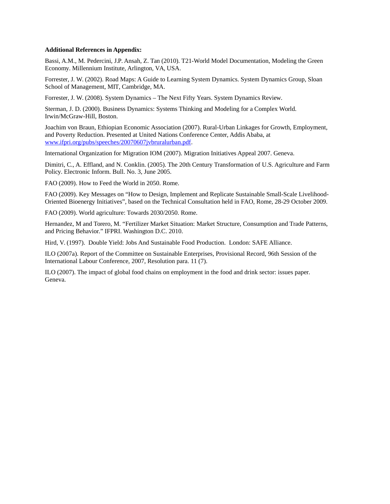#### **Additional References in Appendix:**

Bassi, A.M., M. Pedercini, J.P. Ansah, Z. Tan (2010). T21-World Model Documentation, Modeling the Green Economy. Millennium Institute, Arlington, VA, USA.

Forrester, J. W. (2002). Road Maps: A Guide to Learning System Dynamics. System Dynamics Group, Sloan School of Management, MIT, Cambridge, MA.

Forrester, J. W. (2008). System Dynamics – The Next Fifty Years. System Dynamics Review.

Sterman, J. D. (2000). Business Dynamics: Systems Thinking and Modeling for a Complex World. Irwin/McGraw-Hill, Boston.

Joachim von Braun, Ethiopian Economic Association (2007). Rural-Urban Linkages for Growth, Employment, and Poverty Reduction. Presented at United Nations Conference Center, Addis Ababa, at [www.ifpri.org/pubs/speeches/20070607jvbruralurban.pdf.](http://www.ifpri.org/pubs/speeches/20070607jvbruralurban.pdf)

International Organization for Migration IOM (2007). Migration Initiatives Appeal 2007. Geneva.

Dimitri, C., A. Effland, and N. Conklin. (2005). The 20th Century Transformation of U.S. Agriculture and Farm Policy. Electronic Inform. Bull. No. 3, June 2005.

FAO (2009). How to Feed the World in 2050. Rome.

FAO (2009). Key Messages on "How to Design, Implement and Replicate Sustainable Small-Scale Livelihood-Oriented Bioenergy Initiatives", based on the Technical Consultation held in FAO, Rome, 28-29 October 2009.

FAO (2009). World agriculture: Towards 2030/2050. Rome.

Hernandez, M and Torero, M. "Fertilizer Market Situation: Market Structure, Consumption and Trade Patterns, and Pricing Behavior." IFPRI. Washington D.C. 2010.

Hird, V. (1997). Double Yield: Jobs And Sustainable Food Production. London: SAFE Alliance.

ILO (2007a). Report of the Committee on Sustainable Enterprises, Provisional Record, 96th Session of the International Labour Conference, 2007, Resolution para. 11 (7).

ILO (2007). The impact of global food chains on employment in the food and drink sector: issues paper. Geneva.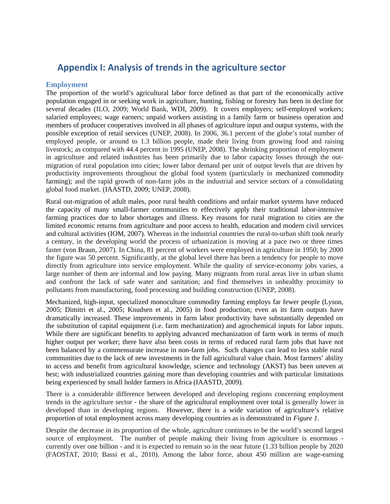# **Appendix I: Analysis of trends in the agriculture sector**

# **Employment**

The proportion of the world's agricultural labor force defined as that part of the economically active population engaged in or seeking work in agriculture, hunting, fishing or forestry has been in decline for several decades (ILO, 2009; World Bank, WDI, 2009). It covers employers; self-employed workers; salaried employees; wage earners; unpaid workers assisting in a family farm or business operation and members of producer cooperatives involved in all phases of agriculture input and output systems, with the possible exception of retail services (UNEP, 2008). In 2006, 36.1 percent of the globe's total number of employed people, or around to 1.3 billion people, made their living from growing food and raising livestock; as compared with 44.4 percent in 1995 (UNEP, 2008). The shrinking proportion of employment in agriculture and related industries has been primarily due to labor capacity losses through the outmigration of rural population into cities; lower labor demand per unit of output levels that are driven by productivity improvements throughout the global food system (particularly in mechanized commodity farming); and the rapid growth of non-farm jobs in the industrial and service sectors of a consolidating global food market. (IAASTD, 2009; UNEP, 2008).

Rural out-migration of adult males, poor rural health conditions and unfair market systems have reduced the capacity of many small-farmer communities to effectively apply their traditional labor-intensive farming practices due to labor shortages and illness. Key reasons for rural migration to cities are the limited economic returns from agriculture and poor access to health, education and modern civil services and cultural activities (IOM, 2007). Whereas in the industrial countries the rural-to-urban shift took nearly a century, in the developing world the process of urbanization is moving at a pace two or three times faster (von Braun, 2007). In China, 81 percent of workers were employed in agriculture in 1950; by 2000 the figure was 50 percent. Significantly, at the global level there has been a tendency for people to move directly from agriculture into service employment. While the quality of service-economy jobs varies, a large number of them are informal and low paying. Many migrants from rural areas live in urban slums and confront the lack of safe water and sanitation; and find themselves in unhealthy proximity to pollutants from manufacturing, food processing and building construction (UNEP, 2008).

Mechanized, high-input, specialized monoculture commodity farming employs far fewer people (Lyson, 2005; Dimitri et al., 2005; Knudsen et al., 2005) in food production; even as its farm outputs have dramatically increased. These improvements in farm labor productivity have substantially depended on the substitution of capital equipment (i.e. farm mechanization) and agrochemical inputs for labor inputs. While there are significant benefits to applying advanced mechanization of farm work in terms of much higher output per worker; there have also been costs in terms of reduced rural farm jobs that have not been balanced by a commensurate increase in non-farm jobs. Such changes can lead to less stable rural communities due to the lack of new investments in the full agricultural value chain. Most farmers' ability to access and benefit from agricultural knowledge, science and technology (AKST) has been uneven at best; with industrialized countries gaining more than developing countries and with particular limitations being experienced by small holder farmers in Africa (IAASTD, 2009).

There is a considerable difference between developed and developing regions concerning employment trends in the agriculture sector - the share of the agricultural employment over total is generally lower in developed than in developing regions. However, there is a wide variation of agriculture's relative proportion of total employment across many developing countries as is demonstrated in *Figure 1*.

Despite the decrease in its proportion of the whole, agriculture continues to be the world's second largest source of employment. The number of people making their living from agriculture is enormous currently over one billion - and it is expected to remain so in the near future (1.33 billion people by 2020 (FAOSTAT, 2010; Bassi et al., 2010). Among the labor force, about 450 million are wage-earning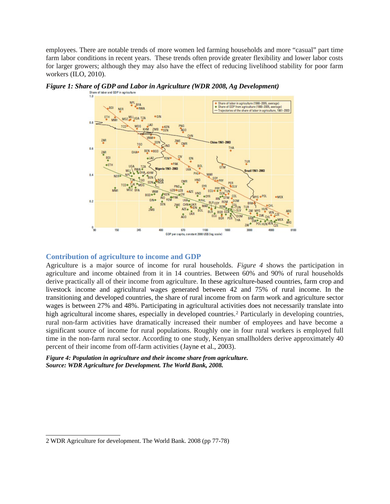employees. There are notable trends of more women led farming households and more "casual" part time farm labor conditions in recent years. These trends often provide greater flexibility and lower labor costs for larger growers; although they may also have the effect of reducing livelihood stability for poor farm workers (ILO, 2010).





## **Contribution of agriculture to income and GDP**

Agriculture is a major source of income for rural households. *Figure 4* shows the participation in agriculture and income obtained from it in 14 countries. Between 60% and 90% of rural households derive practically all of their income from agriculture. In these agriculture-based countries, farm crop and livestock income and agricultural wages generated between 42 and 75% of rural income. In the transitioning and developed countries, the share of rural income from on farm work and agriculture sector wages is between 27% and 48%. Participating in agricultural activities does not necessarily translate into high agricultural income shares, especially in developed countries.<sup>[2](#page-38-0)</sup> Particularly in developing countries, rural non-farm activities have dramatically increased their number of employees and have become a significant source of income for rural populations. Roughly one in four rural workers is employed full time in the non-farm rural sector. According to one study, Kenyan smallholders derive approximately 40 percent of their income from off-farm activities (Jayne et al., 2003).

*Figure 4: Population in agriculture and their income share from agriculture. Source: WDR Agriculture for Development. The World Bank, 2008.*

<span id="page-38-0"></span><sup>2</sup> WDR Agriculture for development. The World Bank. 2008 (pp 77-78)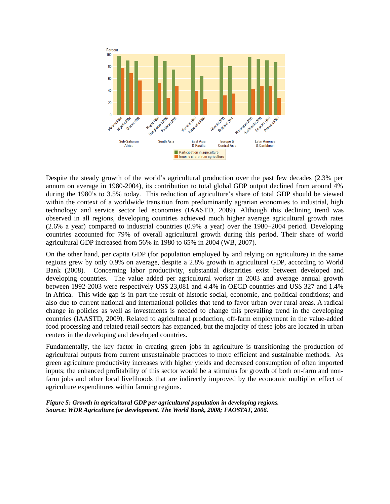

Despite the steady growth of the world's agricultural production over the past few decades (2.3% per annum on average in 1980-2004), its contribution to total global GDP output declined from around 4% during the 1980's to 3.5% today. This reduction of agriculture's share of total GDP should be viewed within the context of a worldwide transition from predominantly agrarian economies to industrial, high technology and service sector led economies (IAASTD, 2009). Although this declining trend was observed in all regions, developing countries achieved much higher average agricultural growth rates (2.6% a year) compared to industrial countries (0.9% a year) over the 1980–2004 period. Developing countries accounted for 79% of overall agricultural growth during this period. Their share of world agricultural GDP increased from 56% in 1980 to 65% in 2004 (WB, 2007).

On the other hand, per capita GDP (for population employed by and relying on agriculture) in the same regions grew by only 0.9% on average, despite a 2.8% growth in agricultural GDP, according to World Bank (2008). Concerning labor productivity, substantial disparities exist between developed and developing countries. The value added per agricultural worker in 2003 and average annual growth between 1992-2003 were respectively US\$ 23,081 and 4.4% in OECD countries and US\$ 327 and 1.4% in Africa. This wide gap is in part the result of historic social, economic, and political conditions; and also due to current national and international policies that tend to favor urban over rural areas. A radical change in policies as well as investments is needed to change this prevailing trend in the developing countries (IAASTD, 2009). Related to agricultural production, off-farm employment in the value-added food processing and related retail sectors has expanded, but the majority of these jobs are located in urban centers in the developing and developed countries.

Fundamentally, the key factor in creating green jobs in agriculture is transitioning the production of agricultural outputs from current unsustainable practices to more efficient and sustainable methods. As green agriculture productivity increases with higher yields and decreased consumption of often imported inputs; the enhanced profitability of this sector would be a stimulus for growth of both on-farm and nonfarm jobs and other local livelihoods that are indirectly improved by the economic multiplier effect of agriculture expenditures within farming regions.

*Figure 5: Growth in agricultural GDP per agricultural population in developing regions. Source: WDR Agriculture for development. The World Bank, 2008; FAOSTAT, 2006.*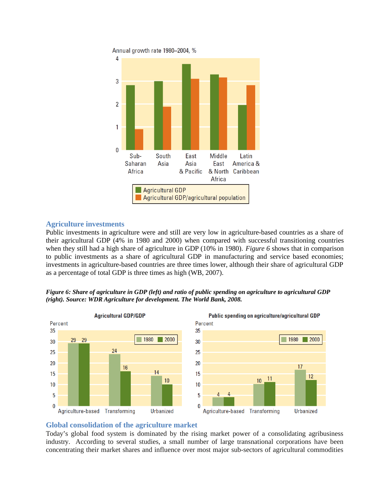

# **Agriculture investments**

Public investments in agriculture were and still are very low in agriculture-based countries as a share of their agricultural GDP (4% in 1980 and 2000) when compared with successful transitioning countries when they still had a high share of agriculture in GDP (10% in 1980). *Figure 6* shows that in comparison to public investments as a share of agricultural GDP in manufacturing and service based economies; investments in agriculture-based countries are three times lower, although their share of agricultural GDP as a percentage of total GDP is three times as high (WB, 2007).





# **Global consolidation of the agriculture market**

Today's global food system is dominated by the rising market power of a consolidating agribusiness industry. According to several studies, a small number of large transnational corporations have been concentrating their market shares and influence over most major sub-sectors of agricultural commodities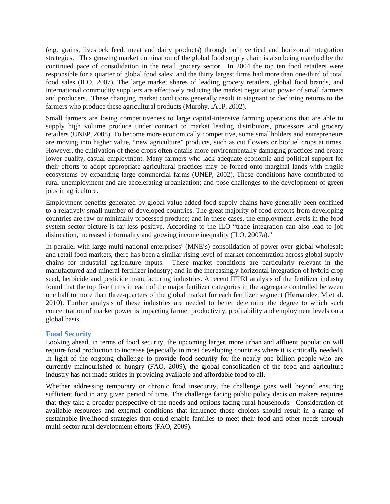(e.g. grains, livestock feed, meat and dairy products) through both vertical and horizontal integration strategies. This growing market domination of the global food supply chain is also being matched by the continued pace of consolidation in the retail grocery sector. In 2004 the top ten food retailers were responsible for a quarter of global food sales; and the thirty largest firms had more than one-third of total food sales (ILO, 2007). The large market shares of leading grocery retailers, global food brands, and international commodity suppliers are effectively reducing the market negotiation power of small farmers and producers. These changing market conditions generally result in stagnant or declining returns to the farmers who produce these agricultural products (Murphy. IATP, 2002).

Small farmers are losing competitiveness to large capital-intensive farming operations that are able to supply high volume produce under contract to market leading distributors, processors and grocery retailers (UNEP, 2008). To become more economically competitive, some smallholders and entrepreneurs are moving into higher value, "new agriculture" products, such as cut flowers or biofuel crops at times. However, the cultivation of these crops often entails more environmentally damaging practices and create lower quality, casual employment. Many farmers who lack adequate economic and political support for their efforts to adopt appropriate agricultural practices may be forced onto marginal lands with fragile ecosystems by expanding large commercial farms (UNEP, 2002). These conditions have contributed to rural unemployment and are accelerating urbanization; and pose challenges to the development of green jobs in agriculture.

Employment benefits generated by global value added food supply chains have generally been confined to a relatively small number of developed countries. The great majority of food exports from developing countries are raw or minimally processed produce; and in these cases, the employment levels in the food system sector picture is far less positive. According to the ILO "trade integration can also lead to job dislocation, increased informality and growing income inequality (ILO, 2007a)."

In parallel with large multi-national enterprises' (MNE's) consolidation of power over global wholesale and retail food markets, there has been a similar rising level of market concentration across global supply chains for industrial agriculture inputs. These market conditions are particularly relevant in the manufactured and mineral fertilizer industry; and in the increasingly horizontal integration of hybrid crop seed, herbicide and pesticide manufacturing industries. A recent IFPRI analysis of the fertilizer industry found that the top five firms in each of the major fertilizer categories in the aggregate controlled between one half to more than three-quarters of the global market for each fertilizer segment (Hernandez, M et al. 2010). Further analysis of these industries are needed to better determine the degree to which such concentration of market power is impacting farmer productivity, profitability and employment levels on a global basis.

## **Food Security**

Looking ahead, in terms of food security, the upcoming larger, more urban and affluent population will require food production to increase (especially in most developing countries where it is critically needed). In light of the ongoing challenge to provide food security for the nearly one billion people who are currently malnourished or hungry (FAO, 2009), the global consolidation of the food and agriculture industry has not made strides in providing available and affordable food to all.

Whether addressing temporary or chronic food insecurity, the challenge goes well beyond ensuring sufficient food in any given period of time. The challenge facing public policy decision makers requires that they take a broader perspective of the needs and options facing rural households. Consideration of available resources and external conditions that influence those choices should result in a range of sustainable livelihood strategies that could enable families to meet their food and other needs through multi-sector rural development efforts (FAO, 2009).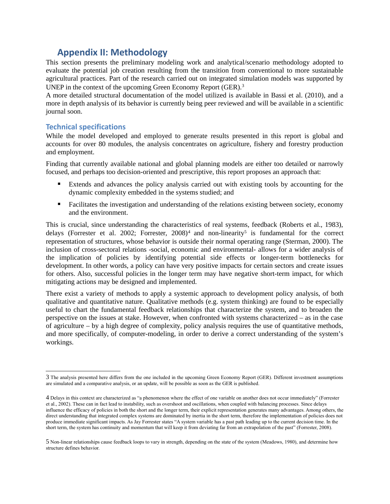# **Appendix II: Methodology**

This section presents the preliminary modeling work and analytical/scenario methodology adopted to evaluate the potential job creation resulting from the transition from conventional to more sustainable agricultural practices. Part of the research carried out on integrated simulation models was supported by UNEP in the context of the upcoming Green Economy Report (GER).[3](#page-42-0)

A more detailed structural documentation of the model utilized is available in Bassi et al. (2010), and a more in depth analysis of its behavior is currently being peer reviewed and will be available in a scientific journal soon.

# **Technical specifications**

While the model developed and employed to generate results presented in this report is global and accounts for over 80 modules, the analysis concentrates on agriculture, fishery and forestry production and employment.

Finding that currently available national and global planning models are either too detailed or narrowly focused, and perhaps too decision-oriented and prescriptive, this report proposes an approach that:

- Extends and advances the policy analysis carried out with existing tools by accounting for the dynamic complexity embedded in the systems studied; and
- Facilitates the investigation and understanding of the relations existing between society, economy and the environment.

This is crucial, since understanding the characteristics of real systems, feedback (Roberts et al., 1983), delays (Forrester et al. 2002; Forrester,  $2008)^4$  $2008)^4$  and non-linearity<sup>[5](#page-42-2)</sup> is fundamental for the correct representation of structures, whose behavior is outside their normal operating range (Sterman, 2000). The inclusion of cross-sectoral relations -social, economic and environmental- allows for a wider analysis of the implication of policies by identifying potential side effects or longer-term bottlenecks for development. In other words, a policy can have very positive impacts for certain sectors and create issues for others. Also, successful policies in the longer term may have negative short-term impact, for which mitigating actions may be designed and implemented.

There exist a variety of methods to apply a systemic approach to development policy analysis, of both qualitative and quantitative nature. Qualitative methods (e.g. system thinking) are found to be especially useful to chart the fundamental feedback relationships that characterize the system, and to broaden the perspective on the issues at stake. However, when confronted with systems characterized – as in the case of agriculture – by a high degree of complexity, policy analysis requires the use of quantitative methods, and more specifically, of computer-modeling, in order to derive a correct understanding of the system's workings.

<span id="page-42-0"></span><sup>3</sup> The analysis presented here differs from the one included in the upcoming Green Economy Report (GER). Different investment assumptions are simulated and a comparative analysis, or an update, will be possible as soon as the GER is published.

<span id="page-42-1"></span><sup>4</sup> Delays in this context are characterized as "a phenomenon where the effect of one variable on another does not occur immediately" (Forrester et al., 2002). These can in fact lead to instability, such as overshoot and oscillations, when coupled with balancing processes. Since delays influence the efficacy of policies in both the short and the longer term, their explicit representation generates many advantages. Among others, the direct understanding that integrated complex systems are dominated by inertia in the short term, therefore the implementation of policies does not produce immediate significant impacts. As Jay Forrester states "A system variable has a past path leading up to the current decision time. In the short term, the system has continuity and momentum that will keep it from deviating far from an extrapolation of the past" (Forrester, 2008).

<span id="page-42-2"></span><sup>5</sup> Non-linear relationships cause feedback loops to vary in strength, depending on the state of the system (Meadows, 1980), and determine how structure defines behavior.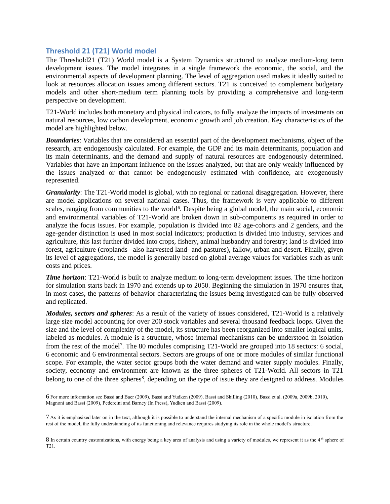# **Threshold 21 (T21) World model**

The Threshold21 (T21) World model is a System Dynamics structured to analyze medium-long term development issues. The model integrates in a single framework the economic, the social, and the environmental aspects of development planning. The level of aggregation used makes it ideally suited to look at resources allocation issues among different sectors. T21 is conceived to complement budgetary models and other short-medium term planning tools by providing a comprehensive and long-term perspective on development.

T21-World includes both monetary and physical indicators, to fully analyze the impacts of investments on natural resources, low carbon development, economic growth and job creation. Key characteristics of the model are highlighted below.

*Boundaries*: Variables that are considered an essential part of the development mechanisms, object of the research, are endogenously calculated. For example, the GDP and its main determinants, population and its main determinants, and the demand and supply of natural resources are endogenously determined. Variables that have an important influence on the issues analyzed, but that are only weakly influenced by the issues analyzed or that cannot be endogenously estimated with confidence, are exogenously represented.

*Granularity*: The T21-World model is global, with no regional or national disaggregation. However, there are model applications on several national cases. Thus, the framework is very applicable to different scales, ranging from communities to the world<sup>[6](#page-43-0)</sup>. Despite being a global model, the main social, economic and environmental variables of T21-World are broken down in sub-components as required in order to analyze the focus issues. For example, population is divided into 82 age-cohorts and 2 genders, and the age-gender distinction is used in most social indicators; production is divided into industry, services and agriculture, this last further divided into crops, fishery, animal husbandry and forestry; land is divided into forest, agriculture (croplands –also harvested land- and pastures), fallow, urban and desert. Finally, given its level of aggregations, the model is generally based on global average values for variables such as unit costs and prices.

*Time horizon*: T21-World is built to analyze medium to long-term development issues. The time horizon for simulation starts back in 1970 and extends up to 2050. Beginning the simulation in 1970 ensures that, in most cases, the patterns of behavior characterizing the issues being investigated can be fully observed and replicated.

*Modules, sectors and spheres*: As a result of the variety of issues considered, T21-World is a relatively large size model accounting for over 200 stock variables and several thousand feedback loops. Given the size and the level of complexity of the model, its structure has been reorganized into smaller logical units, labeled as modules. A module is a structure, whose internal mechanisms can be understood in isolation from the rest of the model<sup>[7](#page-43-1)</sup>. The 80 modules comprising T21-World are grouped into 18 sectors: 6 social, 6 economic and 6 environmental sectors. Sectors are groups of one or more modules of similar functional scope. For example, the water sector groups both the water demand and water supply modules. Finally, society, economy and environment are known as the three spheres of T21-World. All sectors in T21 belong to one of the three spheres<sup>[8](#page-43-2)</sup>, depending on the type of issue they are designed to address. Modules

<span id="page-43-0"></span><sup>6</sup> For more information see Bassi and Baer (2009), Bassi and Yudken (2009), Bassi and Shilling (2010), Bassi et al. (2009a, 2009b, 2010), Magnoni and Bassi (2009), Pedercini and Barney (In Press), Yudken and Bassi (2009).

<span id="page-43-1"></span><sup>7</sup> As it is emphasized later on in the text, although it is possible to understand the internal mechanism of a specific module in isolation from the rest of the model, the fully understanding of its functioning and relevance requires studying its role in the whole model's structure.

<span id="page-43-2"></span><sup>8</sup> In certain country customizations, with energy being a key area of analysis and using a variety of modules, we represent it as the 4<sup>th</sup> sphere of T21.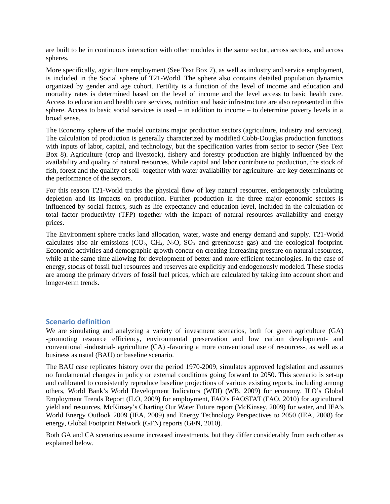are built to be in continuous interaction with other modules in the same sector, across sectors, and across spheres.

More specifically, agriculture employment (See Text Box 7), as well as industry and service employment, is included in the Social sphere of T21-World. The sphere also contains detailed population dynamics organized by gender and age cohort. Fertility is a function of the level of income and education and mortality rates is determined based on the level of income and the level access to basic health care. Access to education and health care services, nutrition and basic infrastructure are also represented in this sphere. Access to basic social services is used – in addition to income – to determine poverty levels in a broad sense.

The Economy sphere of the model contains major production sectors (agriculture, industry and services). The calculation of production is generally characterized by modified Cobb-Douglas production functions with inputs of labor, capital, and technology, but the specification varies from sector to sector (See Text Box 8). Agriculture (crop and livestock), fishery and forestry production are highly influenced by the availability and quality of natural resources. While capital and labor contribute to production, the stock of fish, forest and the quality of soil -together with water availability for agriculture- are key determinants of the performance of the sectors.

For this reason T21-World tracks the physical flow of key natural resources, endogenously calculating depletion and its impacts on production. Further production in the three major economic sectors is influenced by social factors, such as life expectancy and education level, included in the calculation of total factor productivity (TFP) together with the impact of natural resources availability and energy prices.

The Environment sphere tracks land allocation, water, waste and energy demand and supply. T21-World calculates also air emissions  $(CO_2, CH_4, N_2O, SO_3)$  and greenhouse gas) and the ecological footprint. Economic activities and demographic growth concur on creating increasing pressure on natural resources, while at the same time allowing for development of better and more efficient technologies. In the case of energy, stocks of fossil fuel resources and reserves are explicitly and endogenously modeled. These stocks are among the primary drivers of fossil fuel prices, which are calculated by taking into account short and longer-term trends.

## **Scenario definition**

We are simulating and analyzing a variety of investment scenarios, both for green agriculture (GA) -promoting resource efficiency, environmental preservation and low carbon development- and conventional -industrial- agriculture (CA) -favoring a more conventional use of resources-, as well as a business as usual (BAU) or baseline scenario.

The BAU case replicates history over the period 1970-2009, simulates approved legislation and assumes no fundamental changes in policy or external conditions going forward to 2050. This scenario is set-up and calibrated to consistently reproduce baseline projections of various existing reports, including among others, World Bank's World Development Indicators (WDI) (WB, 2009) for economy, ILO's Global Employment Trends Report (ILO, 2009) for employment, FAO's FAOSTAT (FAO, 2010) for agricultural yield and resources, McKinsey's Charting Our Water Future report (McKinsey, 2009) for water, and IEA's World Energy Outlook 2009 (IEA, 2009) and Energy Technology Perspectives to 2050 (IEA, 2008) for energy, Global Footprint Network (GFN) reports (GFN, 2010).

Both GA and CA scenarios assume increased investments, but they differ considerably from each other as explained below.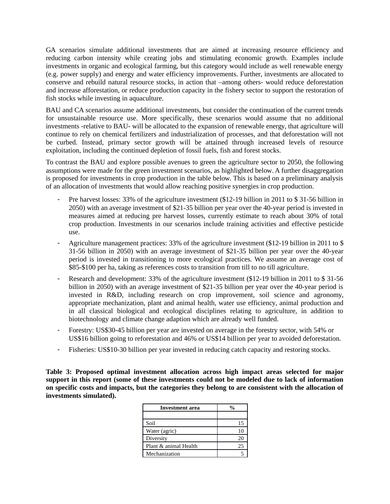GA scenarios simulate additional investments that are aimed at increasing resource efficiency and reducing carbon intensity while creating jobs and stimulating economic growth. Examples include investments in organic and ecological farming, but this category would include as well renewable energy (e.g. power supply) and energy and water efficiency improvements. Further, investments are allocated to conserve and rebuild natural resource stocks, in action that –among others- would reduce deforestation and increase afforestation, or reduce production capacity in the fishery sector to support the restoration of fish stocks while investing in aquaculture.

BAU and CA scenarios assume additional investments, but consider the continuation of the current trends for unsustainable resource use. More specifically, these scenarios would assume that no additional investments -relative to BAU- will be allocated to the expansion of renewable energy, that agriculture will continue to rely on chemical fertilizers and industrialization of processes, and that deforestation will not be curbed. Instead, primary sector growth will be attained through increased levels of resource exploitation, including the continued depletion of fossil fuels, fish and forest stocks.

To contrast the BAU and explore possible avenues to green the agriculture sector to 2050, the following assumptions were made for the green investment scenarios, as highlighted below. A further disaggregation is proposed for investments in crop production in the table below. This is based on a preliminary analysis of an allocation of investments that would allow reaching positive synergies in crop production.

- Pre harvest losses: 33% of the agriculture investment (\$12-19 billion in 2011 to \$31-56 billion in 2050) with an average investment of \$21-35 billion per year over the 40-year period is invested in measures aimed at reducing pre harvest losses, currently estimate to reach about 30% of total crop production. Investments in our scenarios include training activities and effective pesticide use.
- Agriculture management practices: 33% of the agriculture investment (\$12-19 billion in 2011 to \$ 31-56 billion in 2050) with an average investment of \$21-35 billion per year over the 40-year period is invested in transitioning to more ecological practices. We assume an average cost of \$85-\$100 per ha, taking as references costs to transition from till to no till agriculture.
- Research and development: 33% of the agriculture investment (\$12-19 billion in 2011 to \$31-56 billion in 2050) with an average investment of \$21-35 billion per year over the 40-year period is invested in R&D, including research on crop improvement, soil science and agronomy, appropriate mechanization, plant and animal health, water use efficiency, animal production and in all classical biological and ecological disciplines relating to agriculture, in addition to biotechnology and climate change adaption which are already well funded.
- Forestry: US\$30-45 billion per year are invested on average in the forestry sector, with 54% or US\$16 billion going to reforestation and 46% or US\$14 billion per year to avoided deforestation.
- Fisheries: US\$10-30 billion per year invested in reducing catch capacity and restoring stocks.

**Table 3: Proposed optimal investment allocation across high impact areas selected for major support in this report (some of these investments could not be modeled due to lack of information on specific costs and impacts, but the categories they belong to are consistent with the allocation of investments simulated).**

| <b>Investment</b> area | %  |
|------------------------|----|
|                        |    |
| Soil                   | 15 |
| Water (agric)          | 10 |
| Diversity              | 20 |
| Plant & animal Health  | 25 |
| Mechanization          |    |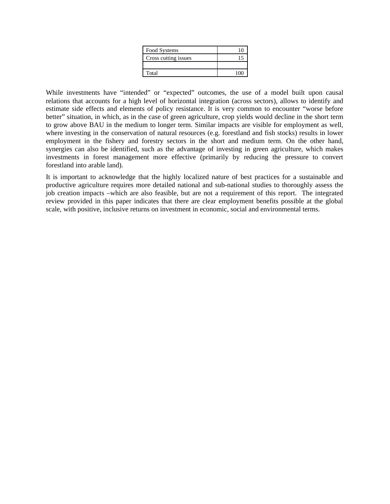| Food Systems         |  |
|----------------------|--|
| Cross cutting issues |  |
|                      |  |
| Total                |  |

While investments have "intended" or "expected" outcomes, the use of a model built upon causal relations that accounts for a high level of horizontal integration (across sectors), allows to identify and estimate side effects and elements of policy resistance. It is very common to encounter "worse before better" situation, in which, as in the case of green agriculture, crop yields would decline in the short term to grow above BAU in the medium to longer term. Similar impacts are visible for employment as well, where investing in the conservation of natural resources (e.g. forestland and fish stocks) results in lower employment in the fishery and forestry sectors in the short and medium term. On the other hand, synergies can also be identified, such as the advantage of investing in green agriculture, which makes investments in forest management more effective (primarily by reducing the pressure to convert forestland into arable land).

It is important to acknowledge that the highly localized nature of best practices for a sustainable and productive agriculture requires more detailed national and sub-national studies to thoroughly assess the job creation impacts –which are also feasible, but are not a requirement of this report. The integrated review provided in this paper indicates that there are clear employment benefits possible at the global scale, with positive, inclusive returns on investment in economic, social and environmental terms.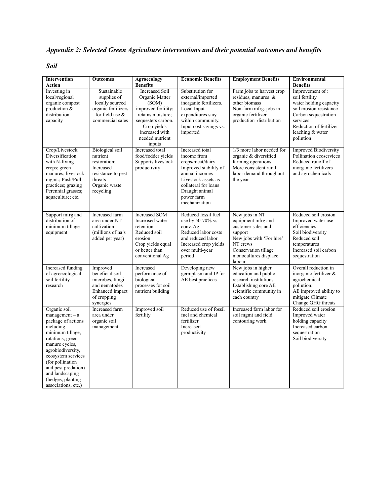# *Appendix 2: Selected Green Agriculture interventions and their potential outcomes and benefits*

# *Soil*

| <b>Intervention</b>                                                                                                                                                                                                                                                                 | <b>Outcomes</b>                                                                                                                | Agroecology<br><b>Benefits</b>                                                                                                                                                   | <b>Economic Benefits</b>                                                                                                                                                                      | <b>Employment Benefits</b>                                                                                                                                               | Environmental                                                                                                                                                                                             |
|-------------------------------------------------------------------------------------------------------------------------------------------------------------------------------------------------------------------------------------------------------------------------------------|--------------------------------------------------------------------------------------------------------------------------------|----------------------------------------------------------------------------------------------------------------------------------------------------------------------------------|-----------------------------------------------------------------------------------------------------------------------------------------------------------------------------------------------|--------------------------------------------------------------------------------------------------------------------------------------------------------------------------|-----------------------------------------------------------------------------------------------------------------------------------------------------------------------------------------------------------|
| Action<br>Investing in<br>local/regional<br>organic compost<br>production $\&$<br>distribution<br>capacity                                                                                                                                                                          | Sustainable<br>supplies of<br>locally sourced<br>organic fertilizers<br>for field use $\&$<br>commercial sales                 | <b>Increased Soil</b><br>Organic Matter<br>(SOM)<br>improved fertility;<br>retains moisture;<br>sequesters carbon.<br>Crop yields<br>increased with<br>needed nutrient<br>inputs | Substitution for<br>external/imported<br>inorganic fertilizers.<br>Local Input<br>expenditures stay<br>within community.<br>Input cost savings vs.<br>imported                                | Farm jobs to harvest crop<br>residues, manures $\&$<br>other biomass<br>Non-farm mfrg. jobs in<br>organic fertilizer<br>production distribution                          | <b>Benefits</b><br>Improvement of:<br>soil fertility<br>water holding capacity<br>soil erosion resistance<br>Carbon sequestration<br>services<br>Reduction of fertilizer<br>leaching & water<br>pollution |
| Crop/Livestock<br>Diversification<br>with N-fixing<br>crops; green<br>manures; livestock<br>mgmt.; Push/Pull<br>practices; grazing<br>Perennial grasses;<br>aquaculture; etc.                                                                                                       | <b>Biological</b> soil<br>nutrient<br>restoration;<br>Increased<br>resistance to pest<br>threats<br>Organic waste<br>recycling | Increased total<br>food/fodder yields<br>Supports livestock<br>productivity                                                                                                      | Increased total<br>income from<br>crops/meat/dairy<br>Improved stability of<br>annual incomes<br>Livestock assets as<br>collateral for loans<br>Draught animal<br>power farm<br>mechanization | 1/3 more labor needed for<br>organic & diversified<br>farming operations<br>More consistent rural<br>labor demand throughout<br>the year                                 | <b>Improved Biodiversity</b><br>Pollination ecoservices<br>Reduced runoff of<br>inorganic fertilizers<br>and agrochemicals                                                                                |
| Support mfrg and<br>distribution of<br>minimum tillage<br>equipment                                                                                                                                                                                                                 | Increased farm<br>area under NT<br>cultivation<br>(millions of ha's<br>added per year)                                         | <b>Increased SOM</b><br>Increased water<br>retention<br>Reduced soil<br>erosion<br>Crop yields equal<br>or better than<br>conventional Ag                                        | Reduced fossil fuel<br>use by 50-70% vs.<br>conv. Ag<br>Reduced labor costs<br>and reduced labor<br>Increased crop yields<br>over multi-year<br>period                                        | New jobs in NT<br>equipment mfrg and<br>customer sales and<br>support<br>New jobs with 'For hire'<br>NT crews<br>Conservation tillage<br>monocultures displace<br>labour | Reduced soil erosion<br>Improved water use<br>efficiencies<br>Soil biodiversity<br>Reduced soil<br>temperatures<br>Increased soil carbon<br>sequestration                                                 |
| Increased funding<br>of agroecological<br>soil fertility<br>research                                                                                                                                                                                                                | Improved<br>beneficial soil<br>microbes, fungi<br>and nematodes<br>Enhanced impact<br>of cropping<br>synergies                 | Increased<br>performance of<br>biological<br>processes for soil<br>nutrient building                                                                                             | Developing new<br>germplasm and IP for<br>AE best practices                                                                                                                                   | New jobs in higher<br>education and public<br>research institutions<br>Establishing core AE<br>scientific community in<br>each country                                   | Overall reduction in<br>inorganic fertilizer &<br>agrochemical<br>pollution;<br>AE improved ability to<br>mitigate Climate<br>Change GHG threats                                                          |
| Organic soil<br>$m$ anagement – a<br>package of actions<br>including<br>minimum tillage,<br>rotations, green<br>manure cycles,<br>agrobiodiversity,<br>ecosystem services<br>(for pollination<br>and pest predation)<br>and landscaping<br>(hedges, planting<br>associations, etc.) | Increased farm<br>area under<br>organic soil<br>management                                                                     | Improved soil<br>fertility                                                                                                                                                       | Reduced use of fossil<br>fuel and chemical<br>fertilizer<br>Increased<br>productivity                                                                                                         | Increased farm labor for<br>soil mgmt and field<br>contouring work                                                                                                       | Reduced soil erosion<br>Improved water<br>holding capacity<br>Increased carbon<br>sequestration<br>Soil biodiversity                                                                                      |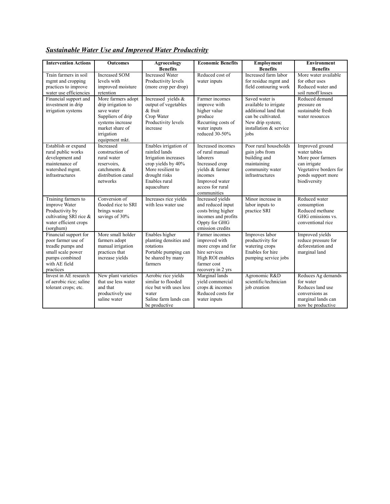| <b>Intervention Actions</b>                                                                                                           | <b>Outcomes</b>                                                                                                                                    | Agroecology<br><b>Benefits</b>                                                                                                                             | <b>Economic Benefits</b>                                                                                                                              | <b>Employment</b><br><b>Benefits</b>                                                                                                        | <b>Environment</b><br><b>Benefits</b>                                                                                                |
|---------------------------------------------------------------------------------------------------------------------------------------|----------------------------------------------------------------------------------------------------------------------------------------------------|------------------------------------------------------------------------------------------------------------------------------------------------------------|-------------------------------------------------------------------------------------------------------------------------------------------------------|---------------------------------------------------------------------------------------------------------------------------------------------|--------------------------------------------------------------------------------------------------------------------------------------|
| Train farmers in soil<br>mgmt and cropping<br>practices to improve<br>water use efficiencies                                          | <b>Increased SOM</b><br>levels with<br>improved moisture<br>retention                                                                              | <b>Increased Water</b><br>Productivity levels<br>(more crop per drop)                                                                                      | Reduced cost of<br>water inputs                                                                                                                       | Increased farm labor<br>for residue mgmt and<br>field contouring work                                                                       | More water available<br>for other uses<br>Reduced water and<br>soil runoff losses                                                    |
| Financial support and<br>investment in drip<br>irrigation systems                                                                     | More farmers adopt<br>drip irrigation to<br>save water<br>Suppliers of drip<br>systems increase<br>market share of<br>irrigation<br>equipment mkt. | Increased yields &<br>output of vegetables<br>$\&$ fruit<br>Crop Water<br>Productivity levels<br>increase                                                  | Farmer incomes<br>improve with<br>higher value<br>produce<br>Recurring costs of<br>water inputs<br>reduced 30-50%                                     | Saved water is<br>available to irrigate<br>additional land that<br>can be cultivated.<br>New drip system;<br>installation & service<br>jobs | Reduced demand<br>pressure on<br>sustainable fresh<br>water resources                                                                |
| Establish or expand<br>rural public works<br>development and<br>maintenance of<br>watershed mgmt.<br>infrastructures                  | Increased<br>construction of<br>rural water<br>reservoirs.<br>catchments &<br>distribution canal<br>networks                                       | Enables irrigation of<br>rainfed lands<br>Irrigation increases<br>crop vields by 40%<br>More resilient to<br>drought risks<br>Enables rural<br>aquaculture | Increased incomes<br>of rural manual<br>laborers<br>Increased crop<br>vields & farmer<br>incomes<br>Improved water<br>access for rural<br>communities | Poor rural households<br>gain jobs from<br>building and<br>maintaining<br>community water<br>infrastructures                                | Improved ground<br>water tables<br>More poor farmers<br>can irrigate<br>Vegetative borders for<br>ponds support more<br>biodiversity |
| Training farmers to<br>improve Water<br>Productivity by<br>cultivating SRI rice &<br>water efficient crops<br>(sorghum)               | Conversion of<br>flooded rice to SRI<br>brings water<br>savings of 30%                                                                             | Increases rice yields<br>with less water use                                                                                                               | Increased vields<br>and reduced input<br>costs bring higher<br>incomes and profits<br>Oppty for GHG<br>emission credits                               | Minor increase in<br>labor inputs to<br>practice SRI                                                                                        | Reduced water<br>consumption<br>Reduced methane<br>GHG emissions vs.<br>conventional rice                                            |
| Financial support for<br>poor farmer use of<br>treadle pumps and<br>small scale power<br>pumps combined<br>with AE field<br>practices | More small holder<br>farmers adopt<br>manual irrigation<br>practices that<br>increase yields                                                       | Enables higher<br>planting densities and<br>rotations<br>Portable pumping can<br>be shared by many<br>farmers                                              | Farmer incomes<br>improved with<br>more crops and for<br>hire services<br>High ROI enables<br>farmer cost<br>recovery in 2 yrs                        | Improves labor<br>productivity for<br>watering crops<br>Enables for hire<br>pumping service jobs                                            | <b>Improved</b> yields<br>reduce pressure for<br>deforestation and<br>marginal land                                                  |
| Invest in AE research<br>of aerobic rice; saline<br>tolerant crops; etc.                                                              | New plant varieties<br>that use less water<br>and that<br>productively use<br>saline water                                                         | Aerobic rice yields<br>similar to flooded<br>rice but with uses less<br>water<br>Saline farm lands can<br>be productive                                    | Marginal lands<br>yield commercial<br>crops & incomes<br>Reduced costs for<br>water inputs                                                            | Agronomic R&D<br>scientific/technician<br>job creation                                                                                      | Reduces Ag demands<br>for water<br>Reduces land use<br>conversions as<br>marginal lands can<br>now be productive                     |

*Sustainable Water Use and Improved Water Productivity*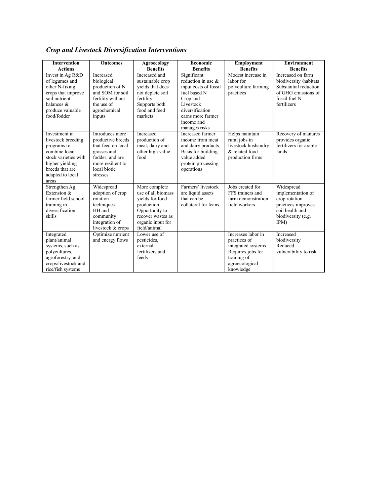|  |  | <b>Crop and Livestock Diversification Interventions</b> |
|--|--|---------------------------------------------------------|
|  |  |                                                         |

| <b>Intervention</b><br><b>Actions</b>                                                                                                                          | <b>Outcomes</b>                                                                                                                               | Agroecology<br><b>Benefits</b>                                                                                                                   | Economic<br><b>Benefits</b>                                                                                                                                                   | Employment<br><b>Benefits</b>                                                                                               | <b>Environment</b><br><b>Benefits</b>                                                                                       |
|----------------------------------------------------------------------------------------------------------------------------------------------------------------|-----------------------------------------------------------------------------------------------------------------------------------------------|--------------------------------------------------------------------------------------------------------------------------------------------------|-------------------------------------------------------------------------------------------------------------------------------------------------------------------------------|-----------------------------------------------------------------------------------------------------------------------------|-----------------------------------------------------------------------------------------------------------------------------|
| Invest in Ag R&D<br>of legumes and<br>other N-fixing<br>crops that improve<br>soil nutrient<br>balances &<br>produce valuable<br>food/fodder                   | Increased<br>biological<br>production of N<br>and SOM for soil<br>fertility without<br>the use of<br>agrochemical<br>inputs                   | Increased and<br>sustainable crop<br>yields that does<br>not deplete soil<br>fertility<br>Supports both<br>food and feed<br>markets              | Significant<br>reduction in use $\&$<br>input costs of fossil<br>fuel based N<br>Crop and<br>Livestock<br>diversification<br>earns more farmer<br>income and<br>manages risks | Modest increase in<br>labor for<br>polyculture farming<br>practices                                                         | Increased on farm<br>biodiversity /habitats<br>Substantial reduction<br>of GHG emissions of<br>fossil fuel N<br>fertilizers |
| Investment in<br>livestock breeding<br>programs to<br>combine local<br>stock varieties with<br>higher yielding<br>breeds that are<br>adapted to local<br>areas | Introduces more<br>productive breeds<br>that feed on local<br>grasses and<br>fodder; and are<br>more resilient to<br>local biotic<br>stresses | Increased<br>production of<br>meat, dairy and<br>other high value<br>food                                                                        | Increased farmer<br>income from meat<br>and dairy products<br>Basis for building<br>value added<br>protein processing<br>operations                                           | Helps maintain<br>rural jobs in<br>livestock husbandry<br>& related food<br>production firms                                | Recovery of manures<br>provides organic<br>fertilizers for arable<br>lands                                                  |
| Strengthen Ag<br>Extension $&$<br>farmer field school<br>training in<br>diversification<br>skills                                                              | Widespread<br>adoption of crop<br>rotation<br>techniques<br>HH and<br>community<br>integration of<br>livestock & crops                        | More complete<br>use of all biomass<br>vields for food<br>production<br>Opportunity to<br>recover wastes as<br>organic input for<br>field/animal | Farmers' livestock<br>are liquid assets<br>that can be<br>collateral for loans                                                                                                | Jobs created for<br>FFS trainers and<br>farm demonstration<br>field workers                                                 | Widespread<br>implementation of<br>crop rotation<br>practices improves<br>soil health and<br>biodiversity (e.g.<br>IPM      |
| Integrated<br>plant/animal<br>systems, such as<br>polycultures,<br>agroforestry, and<br>crops/livestock and<br>rice/fish systems                               | Optimize nutrient<br>and energy flows                                                                                                         | Lower use of<br>pesticides,<br>external<br>fertilizers and<br>feeds                                                                              |                                                                                                                                                                               | Increases labor in<br>practices of<br>integrated systems<br>Requires jobs for<br>training of<br>agroecological<br>knowledge | Increased<br>biodiversity<br>Reduced<br>vulnerability to risk                                                               |